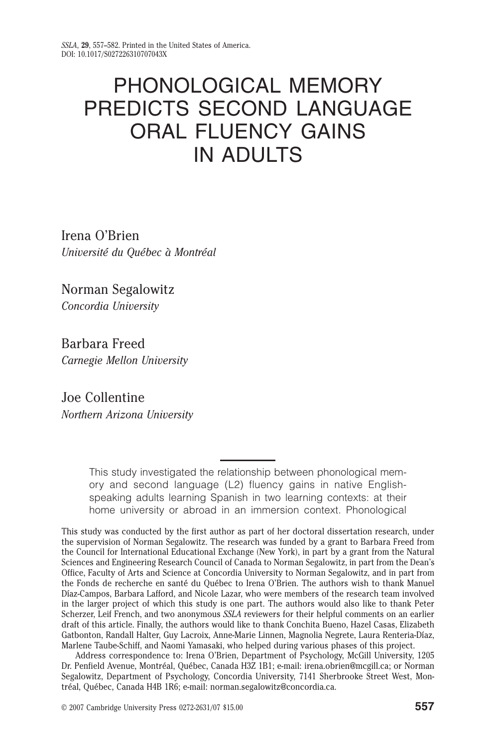# PHONOLOGICAL MEMORY PREDICTS SECOND LANGUAGE ORAL FLUENCY GAINS IN ADULTS

Irena O'Brien *Université du Québec à Montréal*

Norman Segalowitz *Concordia University*

Barbara Freed *Carnegie Mellon University*

Joe Collentine *Northern Arizona University*

> This study investigated the relationship between phonological memory and second language (L2) fluency gains in native Englishspeaking adults learning Spanish in two learning contexts: at their home university or abroad in an immersion context. Phonological

This study was conducted by the first author as part of her doctoral dissertation research, under the supervision of Norman Segalowitz. The research was funded by a grant to Barbara Freed from the Council for International Educational Exchange (New York), in part by a grant from the Natural Sciences and Engineering Research Council of Canada to Norman Segalowitz, in part from the Dean's Office, Faculty of Arts and Science at Concordia University to Norman Segalowitz, and in part from the Fonds de recherche en santé du Québec to Irena O'Brien. The authors wish to thank Manuel Díaz-Campos, Barbara Lafford, and Nicole Lazar, who were members of the research team involved in the larger project of which this study is one part. The authors would also like to thank Peter Scherzer, Leif French, and two anonymous *SSLA* reviewers for their helpful comments on an earlier draft of this article. Finally, the authors would like to thank Conchita Bueno, Hazel Casas, Elizabeth Gatbonton, Randall Halter, Guy Lacroix, Anne-Marie Linnen, Magnolia Negrete, Laura Renteria-Díaz, Marlene Taube-Schiff, and Naomi Yamasaki, who helped during various phases of this project.

Address correspondence to: Irena O'Brien, Department of Psychology, McGill University, 1205 Dr. Penfield Avenue, Montréal, Québec, Canada H3Z 1B1; e-mail: irena.obrien@mcgill.ca; or Norman Segalowitz, Department of Psychology, Concordia University, 7141 Sherbrooke Street West, Montréal, Québec, Canada H4B 1R6; e-mail: norman.segalowitz@concordia.ca.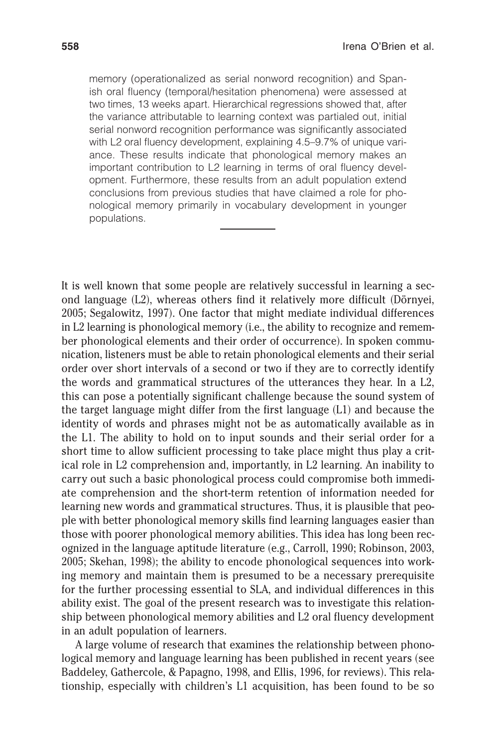memory (operationalized as serial nonword recognition) and Spanish oral fluency (temporal/hesitation phenomena) were assessed at two times, 13 weeks apart. Hierarchical regressions showed that, after the variance attributable to learning context was partialed out, initial serial nonword recognition performance was significantly associated with L2 oral fluency development, explaining 4.5–9.7% of unique variance. These results indicate that phonological memory makes an important contribution to L2 learning in terms of oral fluency development. Furthermore, these results from an adult population extend conclusions from previous studies that have claimed a role for phonological memory primarily in vocabulary development in younger populations.

It is well known that some people are relatively successful in learning a second language  $(L2)$ , whereas others find it relatively more difficult (Dörnyei, 2005; Segalowitz, 1997). One factor that might mediate individual differences in  $L2$  learning is phonological memory (i.e., the ability to recognize and remember phonological elements and their order of occurrence). In spoken communication, listeners must be able to retain phonological elements and their serial order over short intervals of a second or two if they are to correctly identify the words and grammatical structures of the utterances they hear. In a L2, this can pose a potentially significant challenge because the sound system of the target language might differ from the first language  $(L1)$  and because the identity of words and phrases might not be as automatically available as in the L1. The ability to hold on to input sounds and their serial order for a short time to allow sufficient processing to take place might thus play a critical role in L2 comprehension and, importantly, in L2 learning+ An inability to carry out such a basic phonological process could compromise both immediate comprehension and the short-term retention of information needed for learning new words and grammatical structures. Thus, it is plausible that people with better phonological memory skills find learning languages easier than those with poorer phonological memory abilities. This idea has long been recognized in the language aptitude literature (e.g., Carroll, 1990; Robinson, 2003, 2005; Skehan, 1998); the ability to encode phonological sequences into working memory and maintain them is presumed to be a necessary prerequisite for the further processing essential to SLA, and individual differences in this ability exist. The goal of the present research was to investigate this relationship between phonological memory abilities and L2 oral fluency development in an adult population of learners.

A large volume of research that examines the relationship between phonological memory and language learning has been published in recent years (see Baddeley, Gathercole, & Papagno, 1998, and Ellis, 1996, for reviews). This relationship, especially with children's L1 acquisition, has been found to be so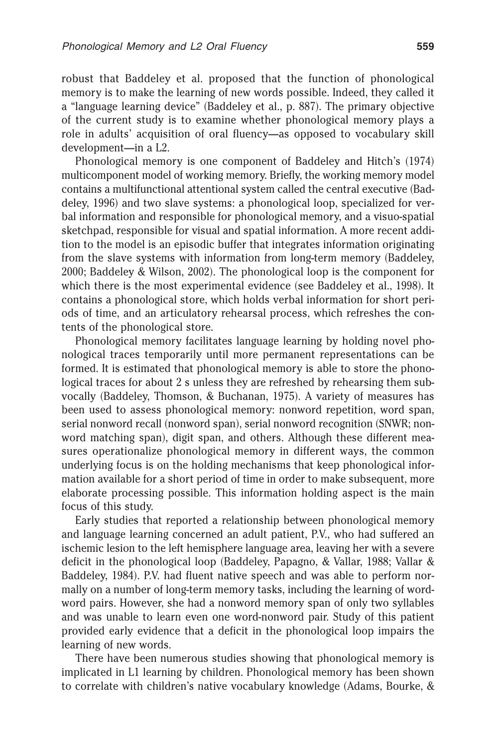robust that Baddeley et al. proposed that the function of phonological memory is to make the learning of new words possible. Indeed, they called it a "language learning device"  $(Badde)$ et al., p. 887). The primary objective of the current study is to examine whether phonological memory plays a role in adults' acquisition of oral fluency—as opposed to vocabulary skill development—in a L2.

Phonological memory is one component of Baddeley and Hitch's (1974) multicomponent model of working memory. Briefly, the working memory model contains a multifunctional attentional system called the central executive (Baddeley, 1996) and two slave systems: a phonological loop, specialized for verbal information and responsible for phonological memory, and a visuo-spatial sketchpad, responsible for visual and spatial information. A more recent addition to the model is an episodic buffer that integrates information originating from the slave systems with information from long-term memory (Baddeley,  $2000$ ; Baddeley & Wilson,  $2002$ ). The phonological loop is the component for which there is the most experimental evidence (see Baddeley et al., 1998). It contains a phonological store, which holds verbal information for short periods of time, and an articulatory rehearsal process, which refreshes the contents of the phonological store.

Phonological memory facilitates language learning by holding novel phonological traces temporarily until more permanent representations can be formed. It is estimated that phonological memory is able to store the phonological traces for about 2 s unless they are refreshed by rehearsing them subvocally  $(Baddeley, Thomson, & Buchanan, 1975)$ . A variety of measures has been used to assess phonological memory: nonword repetition, word span, serial nonword recall (nonword span), serial nonword recognition (SNWR; nonword matching span), digit span, and others. Although these different measures operationalize phonological memory in different ways, the common underlying focus is on the holding mechanisms that keep phonological information available for a short period of time in order to make subsequent, more elaborate processing possible. This information holding aspect is the main focus of this study.

Early studies that reported a relationship between phonological memory and language learning concerned an adult patient, P.V., who had suffered an ischemic lesion to the left hemisphere language area, leaving her with a severe deficit in the phonological loop  $(Baddeley, Papagno, & Vallar, 1988; Vallar & )$ Baddeley, 1984). P.V. had fluent native speech and was able to perform normally on a number of long-term memory tasks, including the learning of wordword pairs. However, she had a nonword memory span of only two syllables and was unable to learn even one word-nonword pair. Study of this patient provided early evidence that a deficit in the phonological loop impairs the learning of new words.

There have been numerous studies showing that phonological memory is implicated in L1 learning by children. Phonological memory has been shown to correlate with children's native vocabulary knowledge (Adams, Bourke,  $&$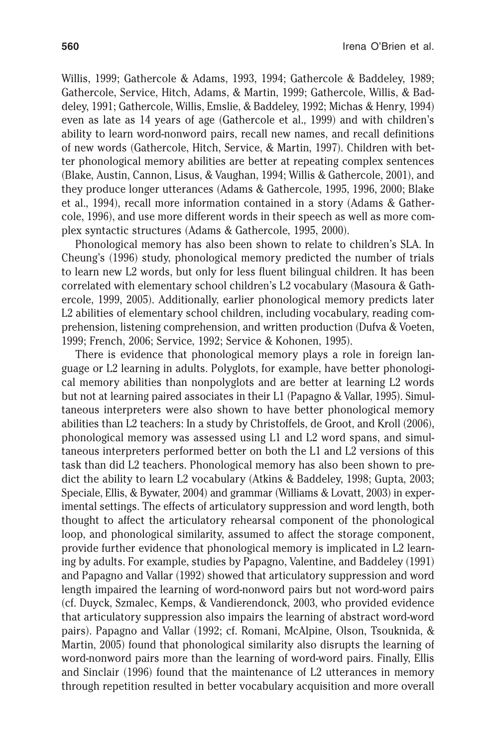Willis, 1999; Gathercole & Adams, 1993, 1994; Gathercole & Baddeley, 1989; Gathercole, Service, Hitch, Adams, & Martin, 1999; Gathercole, Willis, & Baddeley, 1991; Gathercole, Willis, Emslie, & Baddeley, 1992; Michas & Henry, 1994! even as late as  $14$  years of age (Gathercole et al., 1999) and with children's ability to learn word-nonword pairs, recall new names, and recall definitions of new words (Gathercole, Hitch, Service, & Martin, 1997). Children with better phonological memory abilities are better at repeating complex sentences  $(B$ lake, Austin, Cannon, Lisus, & Vaughan, 1994; Willis & Gathercole, 2001), and they produce longer utterances (Adams & Gathercole, 1995, 1996, 2000; Blake et al., 1994), recall more information contained in a story (Adams & Gathercole, 1996), and use more different words in their speech as well as more complex syntactic structures (Adams & Gathercole, 1995, 2000).

Phonological memory has also been shown to relate to children's SLA. In Cheung's (1996) study, phonological memory predicted the number of trials to learn new L2 words, but only for less fluent bilingual children. It has been correlated with elementary school children's  $L2$  vocabulary (Masoura & Gathercole, 1999, 2005). Additionally, earlier phonological memory predicts later L2 abilities of elementary school children, including vocabulary, reading comprehension, listening comprehension, and written production (Dufva & Voeten, 1999; French, 2006; Service, 1992; Service & Kohonen, 1995).

There is evidence that phonological memory plays a role in foreign language or L2 learning in adults+ Polyglots, for example, have better phonological memory abilities than nonpolyglots and are better at learning L2 words but not at learning paired associates in their L1 (Papagno & Vallar, 1995). Simultaneous interpreters were also shown to have better phonological memory abilities than L2 teachers: In a study by Christoffels, de Groot, and Kroll (2006), phonological memory was assessed using L1 and L2 word spans, and simultaneous interpreters performed better on both the L1 and L2 versions of this task than did L2 teachers. Phonological memory has also been shown to predict the ability to learn L2 vocabulary (Atkins & Baddeley, 1998; Gupta, 2003; Speciale, Ellis, & Bywater, 2004) and grammar (Williams & Lovatt, 2003) in experimental settings. The effects of articulatory suppression and word length, both thought to affect the articulatory rehearsal component of the phonological loop, and phonological similarity, assumed to affect the storage component, provide further evidence that phonological memory is implicated in L2 learning by adults. For example, studies by Papagno, Valentine, and Baddeley (1991) and Papagno and Vallar (1992) showed that articulatory suppression and word length impaired the learning of word-nonword pairs but not word-word pairs (cf. Duyck, Szmalec, Kemps, & Vandierendonck, 2003, who provided evidence that articulatory suppression also impairs the learning of abstract word-word pairs). Papagno and Vallar (1992; cf. Romani, McAlpine, Olson, Tsouknida, & Martin, 2005) found that phonological similarity also disrupts the learning of word-nonword pairs more than the learning of word-word pairs. Finally, Ellis and Sinclair  $(1996)$  found that the maintenance of L2 utterances in memory through repetition resulted in better vocabulary acquisition and more overall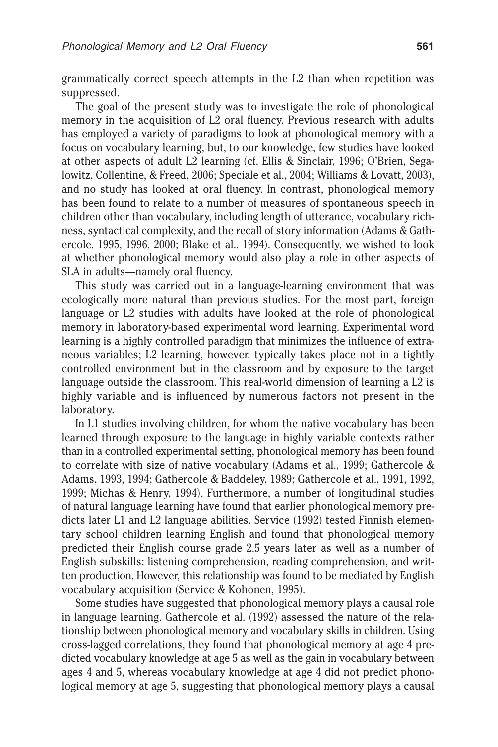grammatically correct speech attempts in the L2 than when repetition was suppressed.

The goal of the present study was to investigate the role of phonological memory in the acquisition of L2 oral fluency. Previous research with adults has employed a variety of paradigms to look at phonological memory with a focus on vocabulary learning, but, to our knowledge, few studies have looked at other aspects of adult L2 learning (cf. Ellis & Sinclair, 1996; O'Brien, Segalowitz, Collentine, & Freed, 2006; Speciale et al., 2004; Williams & Lovatt, 2003), and no study has looked at oral fluency. In contrast, phonological memory has been found to relate to a number of measures of spontaneous speech in children other than vocabulary, including length of utterance, vocabulary richness, syntactical complexity, and the recall of story information (Adams & Gathercole, 1995, 1996, 2000; Blake et al., 1994). Consequently, we wished to look at whether phonological memory would also play a role in other aspects of SLA in adults—namely oral fluency.

This study was carried out in a language-learning environment that was ecologically more natural than previous studies. For the most part, foreign language or L2 studies with adults have looked at the role of phonological memory in laboratory-based experimental word learning. Experimental word learning is a highly controlled paradigm that minimizes the influence of extraneous variables; L2 learning, however, typically takes place not in a tightly controlled environment but in the classroom and by exposure to the target language outside the classroom. This real-world dimension of learning a L2 is highly variable and is influenced by numerous factors not present in the laboratory.

In L1 studies involving children, for whom the native vocabulary has been learned through exposure to the language in highly variable contexts rather than in a controlled experimental setting, phonological memory has been found to correlate with size of native vocabulary (Adams et al., 1999; Gathercole  $&$ Adams, 1993, 1994; Gathercole & Baddeley, 1989; Gathercole et al., 1991, 1992, 1999; Michas & Henry, 1994). Furthermore, a number of longitudinal studies of natural language learning have found that earlier phonological memory predicts later L1 and L2 language abilities. Service  $(1992)$  tested Finnish elementary school children learning English and found that phonological memory predicted their English course grade 2.5 years later as well as a number of English subskills: listening comprehension, reading comprehension, and written production. However, this relationship was found to be mediated by English vocabulary acquisition (Service & Kohonen, 1995).

Some studies have suggested that phonological memory plays a causal role in language learning. Gathercole et al. (1992) assessed the nature of the relationship between phonological memory and vocabulary skills in children+ Using cross-lagged correlations, they found that phonological memory at age 4 predicted vocabulary knowledge at age 5 as well as the gain in vocabulary between ages 4 and 5, whereas vocabulary knowledge at age 4 did not predict phonological memory at age 5, suggesting that phonological memory plays a causal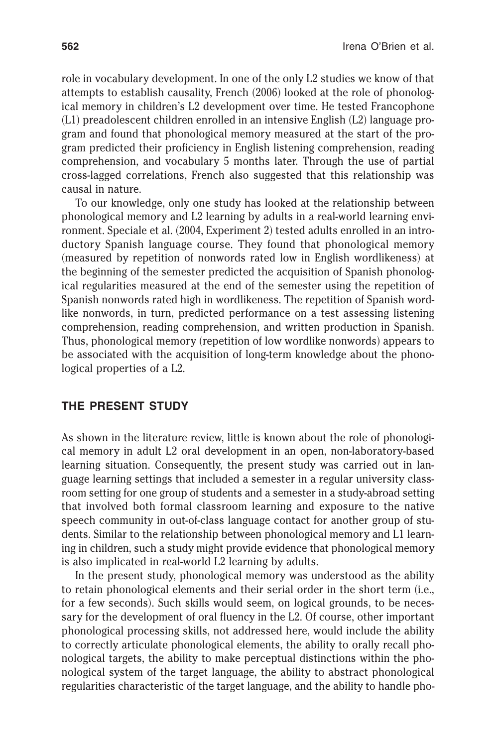role in vocabulary development. In one of the only L2 studies we know of that attempts to establish causality, French (2006) looked at the role of phonological memory in children's L2 development over time. He tested Francophone  $(L1)$  preadolescent children enrolled in an intensive English  $(L2)$  language program and found that phonological memory measured at the start of the program predicted their proficiency in English listening comprehension, reading comprehension, and vocabulary 5 months later. Through the use of partial cross-lagged correlations, French also suggested that this relationship was causal in nature.

To our knowledge, only one study has looked at the relationship between phonological memory and L2 learning by adults in a real-world learning environment. Speciale et al. (2004, Experiment 2) tested adults enrolled in an introductory Spanish language course. They found that phonological memory (measured by repetition of nonwords rated low in English wordlikeness) at the beginning of the semester predicted the acquisition of Spanish phonological regularities measured at the end of the semester using the repetition of Spanish nonwords rated high in wordlikeness. The repetition of Spanish wordlike nonwords, in turn, predicted performance on a test assessing listening comprehension, reading comprehension, and written production in Spanish. Thus, phonological memory (repetition of low wordlike nonwords) appears to be associated with the acquisition of long-term knowledge about the phonological properties of a L2.

## **THE PRESENT STUDY**

As shown in the literature review, little is known about the role of phonological memory in adult L2 oral development in an open, non-laboratory-based learning situation. Consequently, the present study was carried out in language learning settings that included a semester in a regular university classroom setting for one group of students and a semester in a study-abroad setting that involved both formal classroom learning and exposure to the native speech community in out-of-class language contact for another group of students. Similar to the relationship between phonological memory and L1 learning in children, such a study might provide evidence that phonological memory is also implicated in real-world L2 learning by adults.

In the present study, phonological memory was understood as the ability to retain phonological elements and their serial order in the short term  $(i.e.,$ for a few seconds). Such skills would seem, on logical grounds, to be necessary for the development of oral fluency in the L2. Of course, other important phonological processing skills, not addressed here, would include the ability to correctly articulate phonological elements, the ability to orally recall phonological targets, the ability to make perceptual distinctions within the phonological system of the target language, the ability to abstract phonological regularities characteristic of the target language, and the ability to handle pho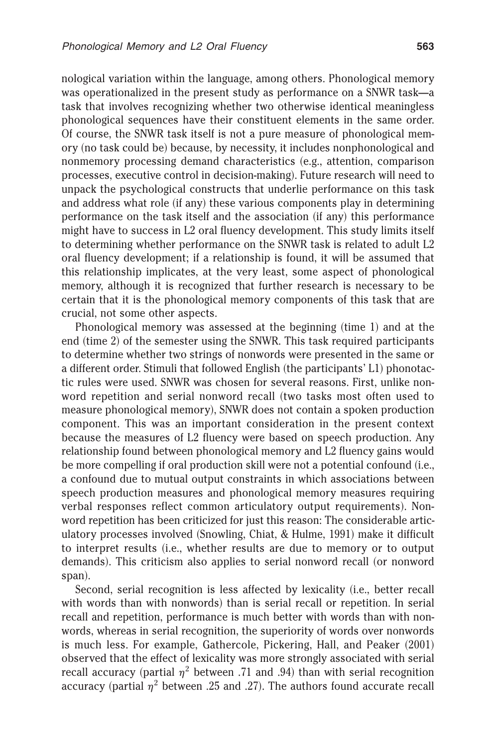nological variation within the language, among others. Phonological memory was operationalized in the present study as performance on a SNWR task—a task that involves recognizing whether two otherwise identical meaningless phonological sequences have their constituent elements in the same order. Of course, the SNWR task itself is not a pure measure of phonological memory (no task could be) because, by necessity, it includes nonphonological and nonmemory processing demand characteristics  $(e.g.,$  attention, comparison processes, executive control in decision-making). Future research will need to unpack the psychological constructs that underlie performance on this task and address what role (if any) these various components play in determining performance on the task itself and the association (if any) this performance might have to success in  $L2$  oral fluency development. This study limits itself to determining whether performance on the SNWR task is related to adult L2 oral fluency development; if a relationship is found, it will be assumed that this relationship implicates, at the very least, some aspect of phonological memory, although it is recognized that further research is necessary to be certain that it is the phonological memory components of this task that are crucial, not some other aspects+

Phonological memory was assessed at the beginning  $(time 1)$  and at the end (time 2) of the semester using the SNWR. This task required participants to determine whether two strings of nonwords were presented in the same or a different order. Stimuli that followed English (the participants' L1) phonotactic rules were used. SNWR was chosen for several reasons. First, unlike nonword repetition and serial nonword recall (two tasks most often used to measure phonological memory), SNWR does not contain a spoken production component. This was an important consideration in the present context because the measures of L2 fluency were based on speech production+ Any relationship found between phonological memory and L2 fluency gains would be more compelling if oral production skill were not a potential confound  $(i.e.,$ a confound due to mutual output constraints in which associations between speech production measures and phonological memory measures requiring verbal responses reflect common articulatory output requirements). Nonword repetition has been criticized for just this reason: The considerable articulatory processes involved (Snowling, Chiat,  $&$  Hulme, 1991) make it difficult to interpret results (i.e., whether results are due to memory or to output demands). This criticism also applies to serial nonword recall (or nonword span).

Second, serial recognition is less affected by lexicality (i.e., better recall with words than with nonwords) than is serial recall or repetition. In serial recall and repetition, performance is much better with words than with nonwords, whereas in serial recognition, the superiority of words over nonwords is much less. For example, Gathercole, Pickering, Hall, and Peaker  $(2001)$ observed that the effect of lexicality was more strongly associated with serial recall accuracy (partial  $\eta^2$  between .71 and .94) than with serial recognition accuracy (partial  $\eta^2$  between .25 and .27). The authors found accurate recall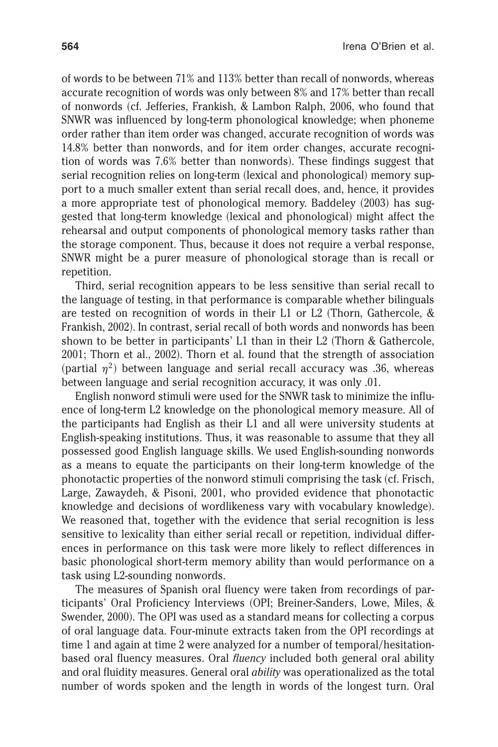of words to be between 71% and 113% better than recall of nonwords, whereas accurate recognition of words was only between 8% and 17% better than recall of nonwords (cf. Jefferies, Frankish, & Lambon Ralph, 2006, who found that SNWR was influenced by long-term phonological knowledge; when phoneme order rather than item order was changed, accurate recognition of words was 14.8% better than nonwords, and for item order changes, accurate recognition of words was 7.6% better than nonwords). These findings suggest that serial recognition relies on long-term (lexical and phonological) memory support to a much smaller extent than serial recall does, and, hence, it provides a more appropriate test of phonological memory. Baddeley (2003) has suggested that long-term knowledge (lexical and phonological) might affect the rehearsal and output components of phonological memory tasks rather than the storage component. Thus, because it does not require a verbal response, SNWR might be a purer measure of phonological storage than is recall or repetition.

Third, serial recognition appears to be less sensitive than serial recall to the language of testing, in that performance is comparable whether bilinguals are tested on recognition of words in their L1 or L2 (Thorn, Gathercole,  $\&$ Frankish, 2002). In contrast, serial recall of both words and nonwords has been shown to be better in participants' L1 than in their L2 (Thorn  $&$  Gathercole,  $2001$ ; Thorn et al.,  $2002$ ). Thorn et al. found that the strength of association (partial  $\eta^2$ ) between language and serial recall accuracy was .36, whereas between language and serial recognition accuracy, it was only  $.01$ .

English nonword stimuli were used for the SNWR task to minimize the influence of long-term L2 knowledge on the phonological memory measure. All of the participants had English as their L1 and all were university students at English-speaking institutions. Thus, it was reasonable to assume that they all possessed good English language skills. We used English-sounding nonwords as a means to equate the participants on their long-term knowledge of the phonotactic properties of the nonword stimuli comprising the task (cf. Frisch, Large, Zawaydeh, & Pisoni, 2001, who provided evidence that phonotactic knowledge and decisions of wordlikeness vary with vocabulary knowledge). We reasoned that, together with the evidence that serial recognition is less sensitive to lexicality than either serial recall or repetition, individual differences in performance on this task were more likely to reflect differences in basic phonological short-term memory ability than would performance on a task using L2-sounding nonwords.

The measures of Spanish oral fluency were taken from recordings of participants' Oral Proficiency Interviews (OPI; Breiner-Sanders, Lowe, Miles, & Swender, 2000). The OPI was used as a standard means for collecting a corpus of oral language data+ Four-minute extracts taken from the OPI recordings at time 1 and again at time 2 were analyzed for a number of temporal/hesitationbased oral fluency measures. Oral *fluency* included both general oral ability and oral fluidity measures. General oral *ability* was operationalized as the total number of words spoken and the length in words of the longest turn. Oral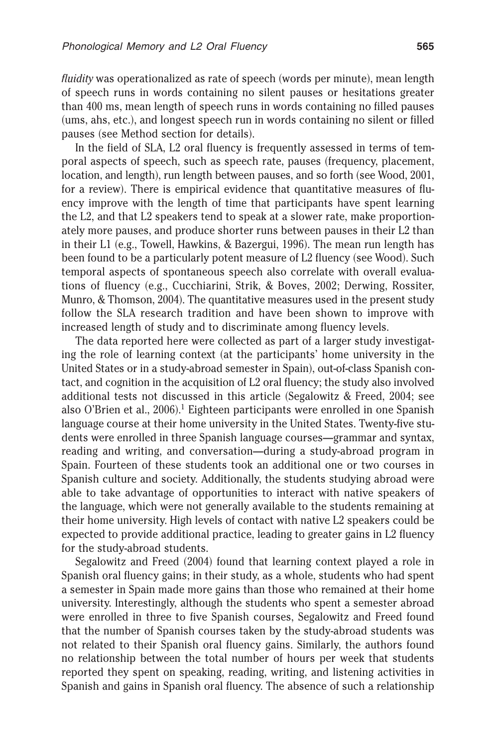*fluidity* was operationalized as rate of speech (words per minute), mean length of speech runs in words containing no silent pauses or hesitations greater than 400 ms, mean length of speech runs in words containing no filled pauses  $(mn, abs, etc.),$  and longest speech run in words containing no silent or filled pauses (see Method section for details).

In the field of SLA, L2 oral fluency is frequently assessed in terms of temporal aspects of speech, such as speech rate, pauses (frequency, placement, location, and length), run length between pauses, and so forth (see Wood, 2001, for a review). There is empirical evidence that quantitative measures of fluency improve with the length of time that participants have spent learning the L2, and that L2 speakers tend to speak at a slower rate, make proportionately more pauses, and produce shorter runs between pauses in their L2 than in their L1  $(e.g.,$  Towell, Hawkins, & Bazergui, 1996). The mean run length has been found to be a particularly potent measure of L2 fluency (see Wood). Such temporal aspects of spontaneous speech also correlate with overall evaluations of fluency  $(e.g.,$  Cucchiarini, Strik, & Boves, 2002; Derwing, Rossiter, Munro,  $&$  Thomson, 2004). The quantitative measures used in the present study follow the SLA research tradition and have been shown to improve with increased length of study and to discriminate among fluency levels.

The data reported here were collected as part of a larger study investigating the role of learning context (at the participants' home university in the United States or in a study-abroad semester in Spain), out-of-class Spanish contact, and cognition in the acquisition of L2 oral fluency; the study also involved additional tests not discussed in this article (Segalowitz  $&$  Freed, 2004; see also O'Brien et al., 2006).<sup>1</sup> Eighteen participants were enrolled in one Spanish language course at their home university in the United States. Twenty-five students were enrolled in three Spanish language courses—grammar and syntax, reading and writing, and conversation—during a study-abroad program in Spain. Fourteen of these students took an additional one or two courses in Spanish culture and society. Additionally, the students studying abroad were able to take advantage of opportunities to interact with native speakers of the language, which were not generally available to the students remaining at their home university. High levels of contact with native L2 speakers could be expected to provide additional practice, leading to greater gains in L2 fluency for the study-abroad students.

Segalowitz and Freed  $(2004)$  found that learning context played a role in Spanish oral fluency gains; in their study, as a whole, students who had spent a semester in Spain made more gains than those who remained at their home university. Interestingly, although the students who spent a semester abroad were enrolled in three to five Spanish courses, Segalowitz and Freed found that the number of Spanish courses taken by the study-abroad students was not related to their Spanish oral fluency gains. Similarly, the authors found no relationship between the total number of hours per week that students reported they spent on speaking, reading, writing, and listening activities in Spanish and gains in Spanish oral fluency. The absence of such a relationship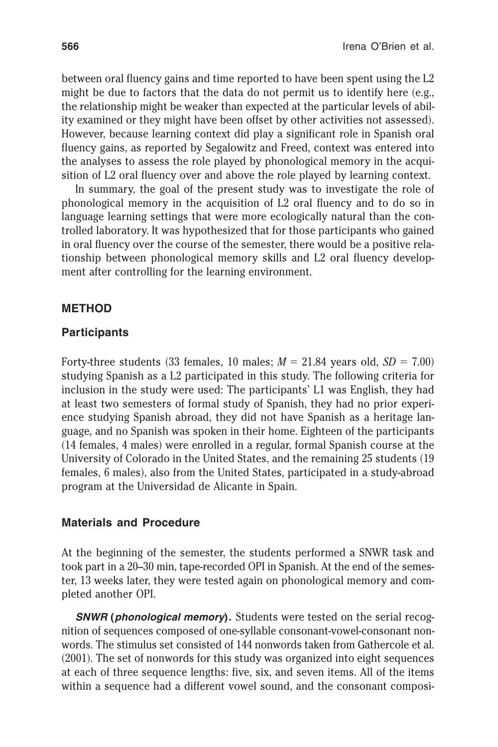between oral fluency gains and time reported to have been spent using the L2 might be due to factors that the data do not permit us to identify here  $(e.g.,\)$ the relationship might be weaker than expected at the particular levels of ability examined or they might have been offset by other activities not assessed). However, because learning context did play a significant role in Spanish oral fluency gains, as reported by Segalowitz and Freed, context was entered into the analyses to assess the role played by phonological memory in the acquisition of  $L2$  oral fluency over and above the role played by learning context.

In summary, the goal of the present study was to investigate the role of phonological memory in the acquisition of L2 oral fluency and to do so in language learning settings that were more ecologically natural than the controlled laboratory. It was hypothesized that for those participants who gained in oral fluency over the course of the semester, there would be a positive relationship between phonological memory skills and L2 oral fluency development after controlling for the learning environment.

#### **METHOD**

### **Participants**

Forty-three students  $(33 \text{ females}, 10 \text{ males}; M = 21.84 \text{ years} \text{ old}, SD = 7.00)$ studying Spanish as a L2 participated in this study+ The following criteria for inclusion in the study were used: The participants' L1 was English, they had at least two semesters of formal study of Spanish, they had no prior experience studying Spanish abroad, they did not have Spanish as a heritage language, and no Spanish was spoken in their home+ Eighteen of the participants  $(14$  females,  $4$  males) were enrolled in a regular, formal Spanish course at the University of Colorado in the United States, and the remaining 25 students (19 females, 6 males), also from the United States, participated in a study-abroad program at the Universidad de Alicante in Spain+

### **Materials and Procedure**

At the beginning of the semester, the students performed a SNWR task and took part in a 20–30 min, tape-recorded OPI in Spanish. At the end of the semester, 13 weeks later, they were tested again on phonological memory and completed another OPI.

*SNWR* **(***phonological memory***)***.* Students were tested on the serial recognition of sequences composed of one-syllable consonant-vowel-consonant nonwords. The stimulus set consisted of 144 nonwords taken from Gathercole et al.  $(2001)$ . The set of nonwords for this study was organized into eight sequences at each of three sequence lengths: five, six, and seven items+ All of the items within a sequence had a different vowel sound, and the consonant composi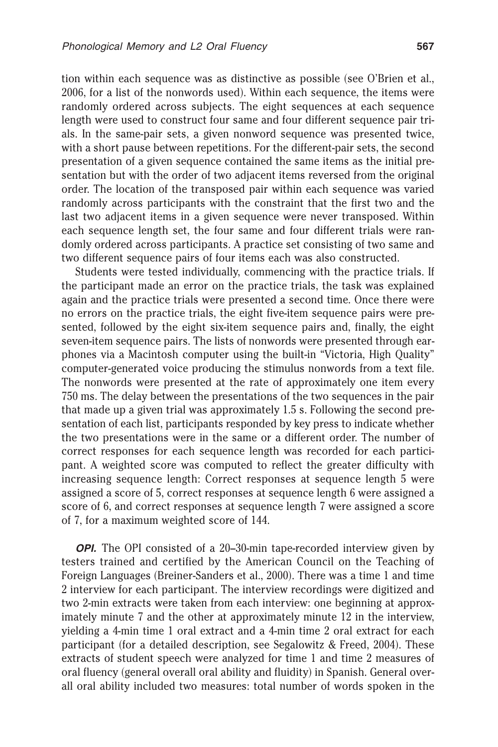tion within each sequence was as distinctive as possible (see O'Brien et al., 2006, for a list of the nonwords used). Within each sequence, the items were randomly ordered across subjects. The eight sequences at each sequence length were used to construct four same and four different sequence pair trials. In the same-pair sets, a given nonword sequence was presented twice, with a short pause between repetitions. For the different-pair sets, the second presentation of a given sequence contained the same items as the initial presentation but with the order of two adjacent items reversed from the original order. The location of the transposed pair within each sequence was varied randomly across participants with the constraint that the first two and the last two adjacent items in a given sequence were never transposed. Within each sequence length set, the four same and four different trials were randomly ordered across participants. A practice set consisting of two same and two different sequence pairs of four items each was also constructed.

Students were tested individually, commencing with the practice trials. If the participant made an error on the practice trials, the task was explained again and the practice trials were presented a second time+ Once there were no errors on the practice trials, the eight five-item sequence pairs were presented, followed by the eight six-item sequence pairs and, finally, the eight seven-item sequence pairs. The lists of nonwords were presented through earphones via a Macintosh computer using the built-in "Victoria, High Quality" computer-generated voice producing the stimulus nonwords from a text file. The nonwords were presented at the rate of approximately one item every 750 ms. The delay between the presentations of the two sequences in the pair that made up a given trial was approximately 1.5 s. Following the second presentation of each list, participants responded by key press to indicate whether the two presentations were in the same or a different order. The number of correct responses for each sequence length was recorded for each participant. A weighted score was computed to reflect the greater difficulty with increasing sequence length: Correct responses at sequence length 5 were assigned a score of 5, correct responses at sequence length 6 were assigned a score of 6, and correct responses at sequence length 7 were assigned a score of 7, for a maximum weighted score of 144.

*OPI.* The OPI consisted of a 20–30-min tape-recorded interview given by testers trained and certified by the American Council on the Teaching of Foreign Languages (Breiner-Sanders et al., 2000). There was a time 1 and time 2 interview for each participant. The interview recordings were digitized and two 2-min extracts were taken from each interview: one beginning at approximately minute 7 and the other at approximately minute 12 in the interview, yielding a 4-min time 1 oral extract and a 4-min time 2 oral extract for each participant (for a detailed description, see Segalowitz  $&$  Freed, 2004). These extracts of student speech were analyzed for time 1 and time 2 measures of oral fluency (general overall oral ability and fluidity) in Spanish. General overall oral ability included two measures: total number of words spoken in the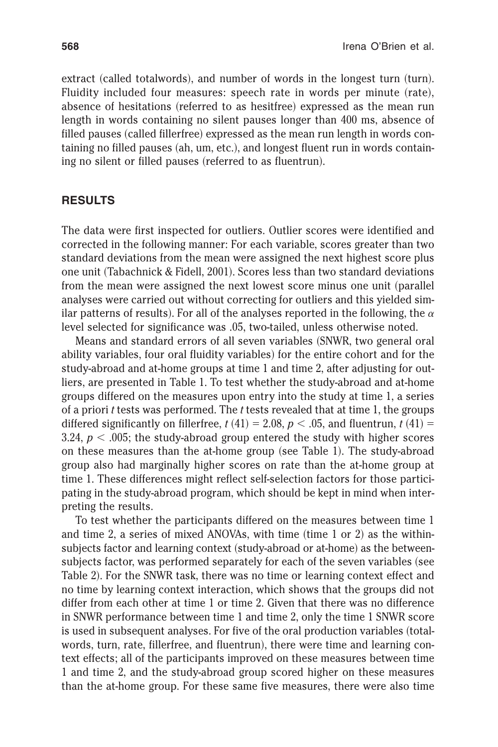$extract$  (called totalwords), and number of words in the longest turn (turn). Fluidity included four measures: speech rate in words per minute (rate), absence of hesitations (referred to as hesitfree) expressed as the mean run length in words containing no silent pauses longer than 400 ms, absence of filled pauses (called fillerfree) expressed as the mean run length in words con $taining no filled pauses (ah, um, etc.), and longest fluent run in words contain$ ing no silent or filled pauses (referred to as fluentrun).

#### **RESULTS**

The data were first inspected for outliers. Outlier scores were identified and corrected in the following manner: For each variable, scores greater than two standard deviations from the mean were assigned the next highest score plus one unit (Tabachnick & Fidell, 2001). Scores less than two standard deviations from the mean were assigned the next lowest score minus one unit (parallel analyses were carried out without correcting for outliers and this yielded similar patterns of results). For all of the analyses reported in the following, the  $\alpha$ level selected for significance was  $.05$ , two-tailed, unless otherwise noted.

Means and standard errors of all seven variables (SNWR, two general oral ability variables, four oral fluidity variables) for the entire cohort and for the study-abroad and at-home groups at time 1 and time 2, after adjusting for outliers, are presented in Table 1. To test whether the study-abroad and at-home groups differed on the measures upon entry into the study at time 1, a series of a priori *t* tests was performed. The *t* tests revealed that at time 1, the groups differed significantly on fillerfree,  $t(41) = 2.08$ ,  $p < .05$ , and fluentrun,  $t(41) =$ 3.24,  $p < .005$ ; the study-abroad group entered the study with higher scores on these measures than the at-home group (see Table 1). The study-abroad group also had marginally higher scores on rate than the at-home group at time 1. These differences might reflect self-selection factors for those participating in the study-abroad program, which should be kept in mind when interpreting the results.

To test whether the participants differed on the measures between time 1 and time 2, a series of mixed ANOVAs, with time  $(time 1 or 2)$  as the withinsubjects factor and learning context (study-abroad or at-home) as the betweensubjects factor, was performed separately for each of the seven variables (see Table 2). For the SNWR task, there was no time or learning context effect and no time by learning context interaction, which shows that the groups did not differ from each other at time 1 or time 2. Given that there was no difference in SNWR performance between time 1 and time 2, only the time 1 SNWR score is used in subsequent analyses. For five of the oral production variables (totalwords, turn, rate, fillerfree, and fluentrun), there were time and learning context effects; all of the participants improved on these measures between time 1 and time 2, and the study-abroad group scored higher on these measures than the at-home group. For these same five measures, there were also time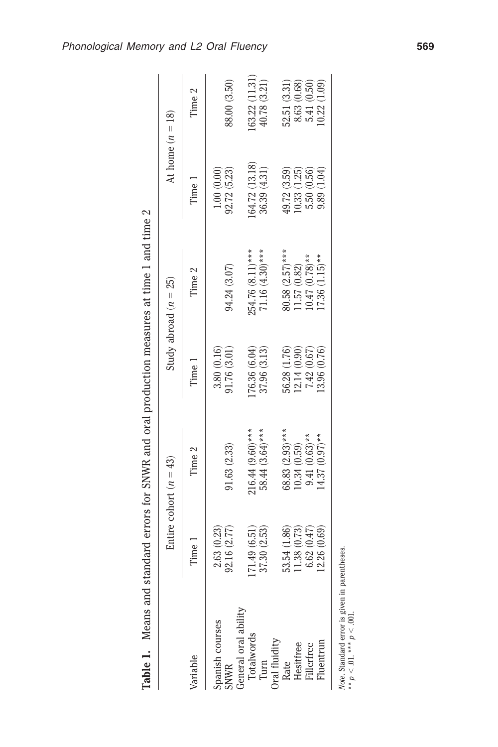| l<br>ł                                                     |
|------------------------------------------------------------|
| j                                                          |
| j                                                          |
|                                                            |
|                                                            |
|                                                            |
|                                                            |
|                                                            |
|                                                            |
|                                                            |
|                                                            |
| )<br>S                                                     |
| <b>NITTIP</b>                                              |
|                                                            |
|                                                            |
| $\frac{1}{2}$<br>i                                         |
| .<br>(<br>ì                                                |
| .<br>ו                                                     |
|                                                            |
| :                                                          |
| )<br>;<br>;                                                |
| こうこう てきこうしょう てらく くらくこ<br>22221<br>j                        |
| ֧֧֧֧֧֧֧֧֪֚֚֚֚֚֚֚֚֚֚֚֚֚֚֚֚֚֚֚֚֚֚֚֚֚֚֚֚֚֚֚֚֚֡֝֟֝֓֝֓֝֓֝֬֝֓֝֬֝ |
|                                                            |
| Table<br>$\frac{1}{2}$                                     |
| l                                                          |

|                                                                                                                        |                               | Entire cohort $(n = 43)$                          |                               | Study abroad $(n = 25)$                | At home $(n = 18)$                                           |                                                             |
|------------------------------------------------------------------------------------------------------------------------|-------------------------------|---------------------------------------------------|-------------------------------|----------------------------------------|--------------------------------------------------------------|-------------------------------------------------------------|
| 'ariable                                                                                                               | Time 1                        | Time 2                                            | Time 1                        | Time 2                                 | Time 1                                                       | Time 2                                                      |
|                                                                                                                        | 2.63(0.23)<br>92.16 (2.77)    | 91.63(2.33)                                       | 91.76 (3.01)<br>3.80(0.16)    | 94.24 (3.07)                           | 92.72 (5.23)<br>1.00(0.00)                                   | 88.00 (3.50)                                                |
| Spanish courses<br>SNWR<br>General oral ability<br>Totalwords<br>Turn<br>Oral fluidity<br>Rate<br>Hestfree<br>Hestfree | [71.49(6.51)]<br>37.30 (2.53) | $216.44(9.60)**$<br>58.44 (3.64)***               | (76.36(6.04))<br>37.96 (3.13) | 254.76 (8.11)***<br>$71.16 (4.30)$ *** | 64.72 (13.18)<br>36.39(4.31)                                 | 63.22 (11.31)<br>40.78 (3.21)                               |
|                                                                                                                        | 53.54 (1.86)                  | $68.83(2.93)***$                                  | 56.28 (1.76)                  | $80.58(2.57)$ ***                      |                                                              | 52.51 (3.31)                                                |
|                                                                                                                        | 11.38 (0.73)                  | $10.34$ (0.59)<br>9.41 (0.63)**<br>14.37 (0.97)** | 12.14(0.90)                   | 1.57(0.82)                             | $49.72$ (3.59)<br>10.33 (1.25)<br>5.50 (0.56)<br>5.89 (1.04) | $\begin{array}{c} 8.63\ (0.68) \\ 5.41\ (0.50) \end{array}$ |
|                                                                                                                        | 6.62(0.47)                    |                                                   | 7.42(0.67)                    |                                        |                                                              |                                                             |
| luentrun                                                                                                               | 12.26(0.69)                   |                                                   | 13.96 (0.76)                  | $10.47(0.78)$ **<br>17.36 (1.15)**     |                                                              | (1.09)<br>10.22                                             |
|                                                                                                                        |                               |                                                   |                               |                                        |                                                              |                                                             |

Note. Standard error is given in parentheses.  $* * p < 0.01 + * * p < 0.001$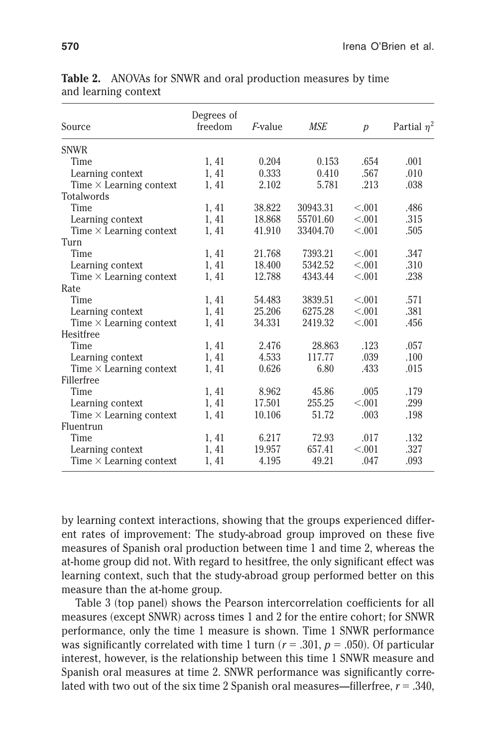| Source                         | Degrees of<br>freedom | <i>F</i> -value | <b>MSE</b> | $\boldsymbol{D}$ | Partial $\eta^2$ |
|--------------------------------|-----------------------|-----------------|------------|------------------|------------------|
| <b>SNWR</b>                    |                       |                 |            |                  |                  |
| Time                           | 1, 41                 | 0.204           | 0.153      | .654             | .001             |
| Learning context               | 1, 41                 | 0.333           | 0.410      | .567             | .010             |
| Time $\times$ Learning context | 1, 41                 | 2.102           | 5.781      | .213             | .038             |
| Totalwords                     |                       |                 |            |                  |                  |
| Time                           | 1, 41                 | 38.822          | 30943.31   | < 0.001          | .486             |
| Learning context               | 1, 41                 | 18.868          | 55701.60   | < 0.001          | .315             |
| Time $\times$ Learning context | 1, 41                 | 41.910          | 33404.70   | < 0.001          | .505             |
| Turn                           |                       |                 |            |                  |                  |
| Time                           | 1, 41                 | 21.768          | 7393.21    | < 0.001          | .347             |
| Learning context               | 1, 41                 | 18.400          | 5342.52    | < 0.001          | .310             |
| Time $\times$ Learning context | 1, 41                 | 12.788          | 4343.44    | < 0.001          | .238             |
| Rate                           |                       |                 |            |                  |                  |
| Time                           | 1, 41                 | 54.483          | 3839.51    | < 0.001          | .571             |
| Learning context               | 1, 41                 | 25.206          | 6275.28    | < 0.001          | .381             |
| Time $\times$ Learning context | 1, 41                 | 34.331          | 2419.32    | < 0.001          | .456             |
| Hesitfree                      |                       |                 |            |                  |                  |
| Time                           | 1, 41                 | 2.476           | 28.863     | .123             | .057             |
| Learning context               | 1.41                  | 4.533           | 117.77     | .039             | .100             |
| Time $\times$ Learning context | 1, 41                 | 0.626           | 6.80       | .433             | .015             |
| Fillerfree                     |                       |                 |            |                  |                  |
| Time                           | 1, 41                 | 8.962           | 45.86      | .005             | .179             |
| Learning context               | 1, 41                 | 17.501          | 255.25     | < 0.001          | .299             |
| Time $\times$ Learning context | 1, 41                 | 10.106          | 51.72      | .003             | .198             |
| Fluentrun                      |                       |                 |            |                  |                  |
| Time                           | 1, 41                 | 6.217           | 72.93      | .017             | .132             |
| Learning context               | 1, 41                 | 19.957          | 657.41     | < 0.001          | .327             |
| Time $\times$ Learning context | 1, 41                 | 4.195           | 49.21      | .047             | .093             |

**Table 2.** ANOVAs for SNWR and oral production measures by time and learning context

by learning context interactions, showing that the groups experienced different rates of improvement: The study-abroad group improved on these five measures of Spanish oral production between time 1 and time 2, whereas the at-home group did not. With regard to hesitfree, the only significant effect was learning context, such that the study-abroad group performed better on this measure than the at-home group.

Table 3 (top panel) shows the Pearson intercorrelation coefficients for all measures (except SNWR) across times 1 and 2 for the entire cohort; for SNWR performance, only the time 1 measure is shown. Time 1 SNWR performance was significantly correlated with time 1 turn  $(r = .301, p = .050)$ . Of particular interest, however, is the relationship between this time 1 SNWR measure and Spanish oral measures at time 2. SNWR performance was significantly correlated with two out of the six time 2 Spanish oral measures—fillerfree,  $r = .340$ ,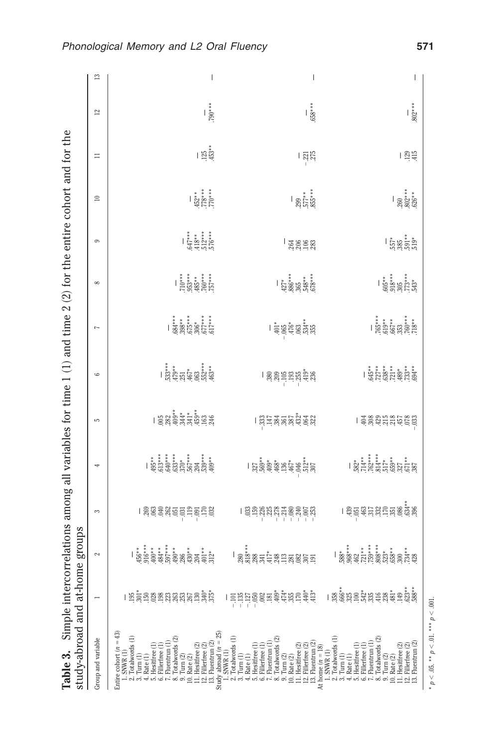Table 3. Simple intercorrelations among all variables for time 1 (1) and time 2 (2) for the entire cohort and for the **Table 3.** Simple intercorrelations among all variables for time 1 (1) and time 2 (2) for the entire cohort and for the

| study-abroad and at-I                                                                                                                                                                                                                                                                                                       |                                                                                                                                                                                                                                | nome groups                                                                                                                                                                                                                                                                                                                       |                                                                                                                                                                                                                                                                                                                         |                                                                                                                                                                                                                                                                                                                                                                                                                                                 |                                 |                                                                                                                                                                                                                                                                                                                                                                                                                             |                                                                                    |                                                                                                                                                                                                                                                                                                                                                                                                                                                                                                                                                    |                                                                                                                                                                                                                                                                                                                                |                                                                                              |                    |                 |              |
|-----------------------------------------------------------------------------------------------------------------------------------------------------------------------------------------------------------------------------------------------------------------------------------------------------------------------------|--------------------------------------------------------------------------------------------------------------------------------------------------------------------------------------------------------------------------------|-----------------------------------------------------------------------------------------------------------------------------------------------------------------------------------------------------------------------------------------------------------------------------------------------------------------------------------|-------------------------------------------------------------------------------------------------------------------------------------------------------------------------------------------------------------------------------------------------------------------------------------------------------------------------|-------------------------------------------------------------------------------------------------------------------------------------------------------------------------------------------------------------------------------------------------------------------------------------------------------------------------------------------------------------------------------------------------------------------------------------------------|---------------------------------|-----------------------------------------------------------------------------------------------------------------------------------------------------------------------------------------------------------------------------------------------------------------------------------------------------------------------------------------------------------------------------------------------------------------------------|------------------------------------------------------------------------------------|----------------------------------------------------------------------------------------------------------------------------------------------------------------------------------------------------------------------------------------------------------------------------------------------------------------------------------------------------------------------------------------------------------------------------------------------------------------------------------------------------------------------------------------------------|--------------------------------------------------------------------------------------------------------------------------------------------------------------------------------------------------------------------------------------------------------------------------------------------------------------------------------|----------------------------------------------------------------------------------------------|--------------------|-----------------|--------------|
| Group and variable                                                                                                                                                                                                                                                                                                          |                                                                                                                                                                                                                                | $\sim$                                                                                                                                                                                                                                                                                                                            | $\sim$                                                                                                                                                                                                                                                                                                                  | ¢                                                                                                                                                                                                                                                                                                                                                                                                                                               | LO                              | $\circ$                                                                                                                                                                                                                                                                                                                                                                                                                     | $-1$                                                                               | $^{\circ}$                                                                                                                                                                                                                                                                                                                                                                                                                                                                                                                                         | c                                                                                                                                                                                                                                                                                                                              | $\approx$                                                                                    | $\equiv$           | $^{2}$          | $\mathbf{r}$ |
| Entire cohort $(n = 43)$<br>Study abroad $(n = 25)$<br>$2.$ Total<br>words $(1)$ $3.$ Turn<br>$(1)$<br>8. Totalwords (2)<br>9. Turn (2)<br>10. Rate (2)<br>11. Hestfree (2)<br>12. Fillerfree (2)<br>13. Fluentrun (2)<br>5. Hesitfree $(1)$<br>6. Fillerfree $(1)$<br>7. Fluentrun $(1)$<br>$1.$ SNWR $(1)$<br>4. Rate (1) | 1 ត្នុំខ្លួន ខ្លួន ខ្លួន ខ្លួន ខ្លួន ខ្លួ                                                                                                                                                                                      |                                                                                                                                                                                                                                                                                                                                   |                                                                                                                                                                                                                                                                                                                         |                                                                                                                                                                                                                                                                                                                                                                                                                                                 |                                 | $\begin{array}{c} \bar{1}_{33}^{\ast\ast},\\ \bar{1}_{33}^{\ast\ast},\\ \bar{1}_{34}^{\ast\ast},\\ \bar{1}_{4}^{\ast\ast},\\ \bar{1}_{4}^{\ast\ast},\\ \bar{1}_{4}^{\ast\ast},\\ \bar{1}_{4}^{\ast\ast},\\ \bar{1}_{4}^{\ast\ast},\\ \bar{1}_{4}^{\ast\ast},\\ \bar{1}_{4}^{\ast\ast},\\ \bar{1}_{4}^{\ast\ast},\\ \bar{1}_{4}^{\ast\ast},\\ \bar{1}_{4}^{\ast\ast},\\ \bar{1}_{4}^{\ast\ast},\\ \bar{1}_{4}^{\ast\ast},\\$ |                                                                                    |                                                                                                                                                                                                                                                                                                                                                                                                                                                                                                                                                    | $\begin{matrix} 1 & 1 & 1 & 1 \\ 1 & 1 & 1 & 1 \\ 1 & 1 & 1 & 1 \\ 1 & 1 & 1 & 1 \\ 1 & 1 & 1 & 1 \\ 1 & 1 & 1 & 1 \\ 1 & 1 & 1 & 1 \\ 1 & 1 & 1 & 1 \\ 1 & 1 & 1 & 1 \\ 1 & 1 & 1 & 1 \\ 1 & 1 & 1 & 1 & 1 \\ 1 & 1 & 1 & 1 & 1 \\ 1 & 1 & 1 & 1 & 1 \\ 1 & 1 & 1 & 1 & 1 \\ 1 & 1 & 1 & 1 & 1 \\ 1 & 1 & 1 & 1 & 1 \\ 1 & 1$ | $452***$<br>$778***$<br>$770***$                                                             | $\frac{125}{453}$  | $rac{1}{790**}$ | $\mid$       |
| 8. Totalwords (2)<br>9. Turn (2)<br>9. Turn (2)<br>10. Rate (2)<br>11. Hestfree (2)<br>13. Fluentrun (2)<br>2. Totalwords (1)<br>3. Turn (1)<br>4. Rate (1)<br>5. Hestifree (1)<br>6. Fillerfree (1)<br>7. Fluentrun (1)<br>At home $(n = 18)$<br>$i$ . SNWR $(1)$                                                          |                                                                                                                                                                                                                                |                                                                                                                                                                                                                                                                                                                                   | $\begin{array}{r} 1 \  \  \, 8 \  \  \, 2 \  \  \, 8 \  \  \, 8 \  \  \, 8 \  \  \, 8 \  \  \, 8 \  \  \, 8 \  \  \, 8 \  \  \, 8 \  \  \, 8 \  \  \, 8 \  \  \, 8 \  \  \, 8 \  \  \, 8 \  \  \, 8 \  \  \, 8 \  \  \, 8 \  \  \, 8 \  \  \, 8 \  \  \, 8 \  \  \, 8 \  \  \, 8 \  \  \, 8 \  \  \, 8 \  \  \, 8 \  \$ | $\begin{array}{r} \mid \mathop{\mathbb{R}}\limits^*_{3} \mathop{\mathbb{S}}\limits^*_{9} \mathop{\mathbb{S}}\limits^*_{9} \mathop{\mathbb{S}}\limits^*_{9} \mathop{\mathbb{S}}\limits^*_{1} \mathop{\mathbb{S}}\limits^*_{1} \mathop{\mathbb{S}}\limits^*_{1} \mathop{\mathbb{S}}\limits^*_{1} \mathop{\mathbb{S}}\limits^*_{1} \mathop{\mathbb{S}}\limits^*_{1} \mathop{\mathbb{S}}\limits^*_{1} \mathop{\mathbb{S}}\limits^*_{1} \end{array}$ | $1.83778888888888$              | $\begin{array}{r} \mid \mathbb{R} \mathbb{R}^n_+ \mathbb{R}^n_+ \mathbb{R}^n_+ \mathbb{R}^n_+ \mathbb{R}^n_+ \mathbb{R}^n_+ \end{array}$                                                                                                                                                                                                                                                                                    |                                                                                    |                                                                                                                                                                                                                                                                                                                                                                                                                                                                                                                                                    | $\frac{1}{3}$ $\frac{1}{3}$ $\frac{1}{3}$ $\frac{1}{3}$ $\frac{1}{3}$ $\frac{1}{3}$ $\frac{1}{3}$                                                                                                                                                                                                                              | $\begin{array}{c}\n -\frac{39}{290} \\  -\frac{377}{255} \\  -\frac{355}{255}\n \end{array}$ | $-\frac{221}{275}$ | $-$<br>$658***$ |              |
| 1. SNWR (1)<br>2. Totalwords (1)<br>3. Turn (1)<br>7. Fluentrum (1)<br>8. Totalwords (2)<br>8. Totalwords (2)<br>10. Rate (2)<br>11. Rete (2)<br>12. Fillerfree (2)<br>13. Fluentrum (2)<br>6. Fillerfree (1)<br>5. Hesitfree (1)<br>4. Rate (1)                                                                            | ಜಿ. ೧೯೮೯ ರ ೧೯೮೯ ರ ೧೯೮೯ ರ ೧೯೮೯ ರ ೧೯೮೯ ರ ೧೯೮೯ ರ ೧೯೮೯ ರ ೧೯೮೯ ರ ೧೯೮೯ ರ ೧೯೮೯ ರ ೧೯೮೯ ರ ೧೯೮೯ ರ ೧೯೮೯ ರ ೧೯೮೯ ರ ೧೯೮೯ ರ<br>  ೧೯೮೯ ರ ೧೯೮೯ ರ ೧೯೮೯ ರ ೧೯೮೯ ರ ೧೯೮೬ ರ ೧೯೮೬ ರ ೧೯೮೬ ರ ೧೯೮೬ ರ ೧೯೮೬ ರ ೧೯೮೬ ರ ೧೯೮೬ ರ ೧೯೮೬ ರ ೧೯೮೬ ರ ೧೯೮೬ ರ ೧೯೮೬ ರ ೧೯೮ | $\begin{array}{r} 188.1 \\ -188.3 \\ -188.4 \\ -188.4 \\ -188.4 \\ -188.4 \\ -188.4 \\ -188.4 \\ -188.4 \\ -188.4 \\ -188.4 \\ -188.4 \\ -188.4 \\ -188.4 \\ -188.4 \\ -188.4 \\ -188.4 \\ -188.4 \\ -188.4 \\ -188.4 \\ -188.4 \\ -188.4 \\ -188.4 \\ -188.4 \\ -188.4 \\ -188.4 \\ -188.4 \\ -188.4 \\ -188.4 \\ -188.4 \\ -18$ |                                                                                                                                                                                                                                                                                                                         |                                                                                                                                                                                                                                                                                                                                                                                                                                                 | 1 \$ \$ \$ \$ \$ \$ \$ \$ \$ \$ |                                                                                                                                                                                                                                                                                                                                                                                                                             | $\begin{array}{c}\n 1.65 \\  - 1.65 \\  - 1.65 \\  - 1.65 \\  - 1.8\n \end{array}$ | $\begin{array}{c} \begin{array}{c} \ast \\ \ast \\ 0 \\ \end{array} \\ \begin{array}{c} \ast \\ \ast \\ 0 \\ \end{array} \\ \begin{array}{c} \ast \\ \ast \\ 0 \\ \end{array} \\ \begin{array}{c} \ast \\ \ast \\ 0 \\ \end{array} \\ \begin{array}{c} \ast \\ \ast \\ 0 \\ \end{array} \\ \begin{array}{c} \ast \\ \ast \\ 0 \\ \end{array} \\ \begin{array}{c} \ast \\ \ast \\ 0 \\ \end{array} \\ \begin{array}{c} \ast \\ \ast \\ 0 \\ \end{array} \\ \begin{array}{c} \ast \\ \ast \\ 0 \\ \end{array} \\ \begin{array}{c} \ast \\ \ast \\ 0$ | $\begin{array}{c} \begin{array}{c} 1 \\ 1 \\ 1 \\ 1 \\ 2 \end{array} & \begin{array}{c} 1 \\ 1 \\ 2 \\ 2 \\ 3 \end{array} & \begin{array}{c} 1 \\ 1 \\ 2 \\ 2 \\ 3 \end{array} & \begin{array}{c} 1 \\ 1 \\ 2 \\ 2 \\ 1 \end{array} & \begin{array}{c} 1 \\ 1 \\ 2 \\ 2 \\ 1 \end{array} \end{array}$                          | $\frac{1}{260}$                                                                              | 1245               | $rac{1}{802}$   |              |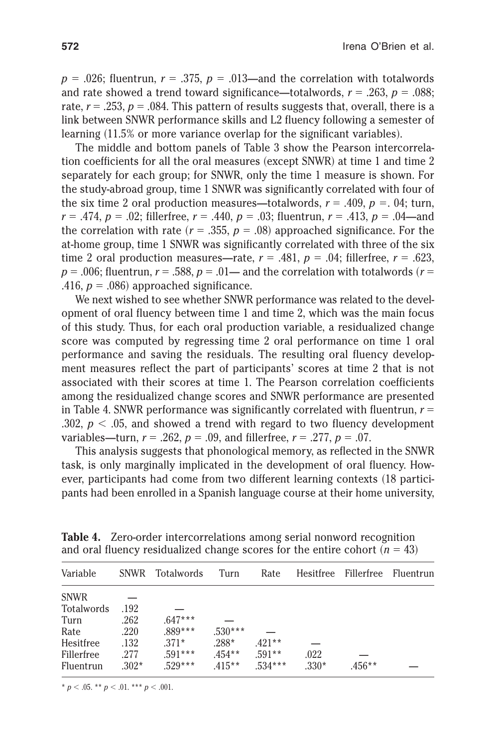$p = 0.026$ ; fluentrun,  $r = 0.375$ ,  $p = 0.013$ —and the correlation with totalwords and rate showed a trend toward significance—totalwords,  $r = .263$ ,  $p = .088$ ; rate,  $r = 0.253$ ,  $p = 0.084$ . This pattern of results suggests that, overall, there is a link between SNWR performance skills and L2 fluency following a semester of learning  $(11.5\%$  or more variance overlap for the significant variables).

The middle and bottom panels of Table 3 show the Pearson intercorrelation coefficients for all the oral measures (except SNWR) at time 1 and time  $2$ separately for each group; for SNWR, only the time 1 measure is shown. For the study-abroad group, time 1 SNWR was significantly correlated with four of the six time 2 oral production measures—totalwords,  $r = .409$ ,  $p = .04$ ; turn,  $r = .474$ ,  $p = .02$ ; fillerfree,  $r = .440$ ,  $p = .03$ ; fluentrun,  $r = .413$ ,  $p = .04$ —and the correlation with rate  $(r = .355, p = .08)$  approached significance. For the at-home group, time 1 SNWR was significantly correlated with three of the six time 2 oral production measures—rate,  $r = .481$ ,  $p = .04$ ; fillerfree,  $r = .623$ ,  $p = 0.006$ ; fluentrun,  $r = 0.588$ ,  $p = 0.01$ — and the correlation with totalwords  $(r = 0.004)$  $.416, p = .086$  approached significance.

We next wished to see whether SNWR performance was related to the development of oral fluency between time 1 and time 2, which was the main focus of this study. Thus, for each oral production variable, a residualized change score was computed by regressing time 2 oral performance on time 1 oral performance and saving the residuals. The resulting oral fluency development measures reflect the part of participants' scores at time 2 that is not associated with their scores at time 1. The Pearson correlation coefficients among the residualized change scores and SNWR performance are presented in Table 4. SNWR performance was significantly correlated with fluentrun,  $r =$  $.302, p < .05$ , and showed a trend with regard to two fluency development variables—turn,  $r = .262$ ,  $p = .09$ , and fillerfree,  $r = .277$ ,  $p = .07$ .

This analysis suggests that phonological memory, as reflected in the SNWR task, is only marginally implicated in the development of oral fluency+ However, participants had come from two different learning contexts (18 participants had been enrolled in a Spanish language course at their home university,

| Variable    | <b>SNWR</b> | Totalwords | Turn      | Rate      | Hesitfree | <b>Fillerfree</b> | Fluentrun |
|-------------|-------------|------------|-----------|-----------|-----------|-------------------|-----------|
| <b>SNWR</b> |             |            |           |           |           |                   |           |
| Totalwords  | .192        |            |           |           |           |                   |           |
| Turn        | .262        | $.647***$  |           |           |           |                   |           |
| Rate        | .220        | $.889***$  | $.530***$ |           |           |                   |           |
| Hesitfree   | .132        | $.371*$    | $.288*$   | $.421**$  |           |                   |           |
| Fillerfree  | .277        | $.591***$  | $.454**$  | $.591**$  | .022      |                   |           |
| Fluentrun   | $.302*$     | $.529***$  | $.415***$ | $.534***$ | $.330*$   | $.456**$          |           |

**Table 4.** Zero-order intercorrelations among serial nonword recognition and oral fluency residualized change scores for the entire cohort  $(n = 43)$ 

 $*$  *p* < .05.  $*$  *k p* < .01.  $*$  *k k p* < .001.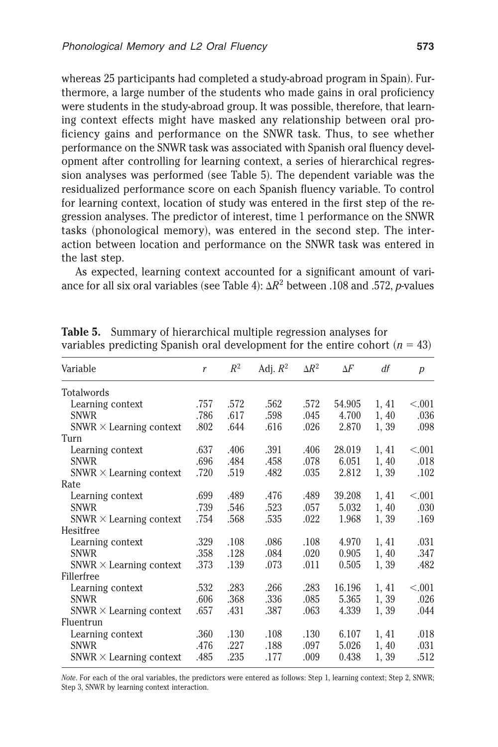whereas 25 participants had completed a study-abroad program in Spain). Furthermore, a large number of the students who made gains in oral proficiency were students in the study-abroad group. It was possible, therefore, that learning context effects might have masked any relationship between oral proficiency gains and performance on the SNWR task. Thus, to see whether performance on the SNWR task was associated with Spanish oral fluency development after controlling for learning context, a series of hierarchical regression analyses was performed (see Table 5). The dependent variable was the residualized performance score on each Spanish fluency variable+ To control for learning context, location of study was entered in the first step of the regression analyses+ The predictor of interest, time 1 performance on the SNWR tasks (phonological memory), was entered in the second step. The interaction between location and performance on the SNWR task was entered in the last step.

As expected, learning context accounted for a significant amount of variance for all six oral variables (see Table 4):  $\Delta R^2$  between .108 and .572, *p*-values

| Variable                       | r    | $R^2$ | Adj. $R^2$ | $\Delta R^2$ | $\Delta F$ | df    | p       |
|--------------------------------|------|-------|------------|--------------|------------|-------|---------|
| Totalwords                     |      |       |            |              |            |       |         |
| Learning context               | .757 | .572  | .562       | .572         | 54.905     | 1, 41 | < 0.001 |
| <b>SNWR</b>                    | .786 | .617  | .598       | .045         | 4.700      | 1, 40 | .036    |
| $SNWR \times Learning context$ | .802 | .644  | .616       | .026         | 2.870      | 1, 39 | .098    |
| Turn                           |      |       |            |              |            |       |         |
| Learning context               | .637 | .406  | .391       | .406         | 28.019     | 1, 41 | < 0.001 |
| <b>SNWR</b>                    | .696 | .484  | .458       | .078         | 6.051      | 1, 40 | .018    |
| $SNWR \times Learning context$ | .720 | .519  | .482       | .035         | 2.812      | 1, 39 | .102    |
| Rate                           |      |       |            |              |            |       |         |
| Learning context               | .699 | .489  | .476       | .489         | 39.208     | 1, 41 | < 0.001 |
| <b>SNWR</b>                    | .739 | .546  | .523       | .057         | 5.032      | 1, 40 | .030    |
| $SNWR \times Learning$ context | .754 | .568  | .535       | .022         | 1.968      | 1, 39 | .169    |
| Hesitfree                      |      |       |            |              |            |       |         |
| Learning context               | .329 | .108  | .086       | .108         | 4.970      | 1, 41 | .031    |
| <b>SNWR</b>                    | .358 | .128  | .084       | .020         | 0.905      | 1, 40 | .347    |
| $SNWR \times Learning context$ | .373 | .139  | .073       | .011         | 0.505      | 1, 39 | .482    |
| Fillerfree                     |      |       |            |              |            |       |         |
| Learning context               | .532 | .283  | .266       | .283         | 16.196     | 1, 41 | < 0.001 |
| <b>SNWR</b>                    | .606 | .368  | .336       | .085         | 5.365      | 1, 39 | .026    |
| $SNWR \times Learning context$ | .657 | .431  | .387       | .063         | 4.339      | 1, 39 | .044    |
| Fluentrun                      |      |       |            |              |            |       |         |
| Learning context               | .360 | .130  | .108       | .130         | 6.107      | 1, 41 | .018    |
| <b>SNWR</b>                    | .476 | .227  | .188       | .097         | 5.026      | 1, 40 | .031    |
| $SNWR \times Learning context$ | .485 | .235  | .177       | .009         | 0.438      | 1, 39 | .512    |

**Table 5.** Summary of hierarchical multiple regression analyses for variables predicting Spanish oral development for the entire cohort  $(n = 43)$ 

*Note*. For each of the oral variables, the predictors were entered as follows: Step 1, learning context; Step 2, SNWR; Step 3, SNWR by learning context interaction.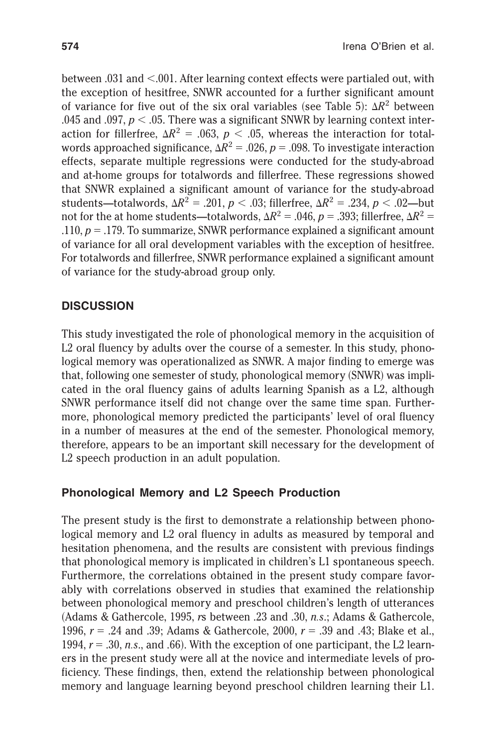between  $.031$  and  $\leq .001$ . After learning context effects were partialed out, with the exception of hesitfree, SNWR accounted for a further significant amount of variance for five out of the six oral variables (see Table 5):  $\Delta R^2$  between  $1045$  and  $1097$ ,  $p < 0.05$ . There was a significant SNWR by learning context interaction for fillerfree,  $\Delta R^2 = .063$ ,  $p < .05$ , whereas the interaction for totalwords approached significance,  $\Delta R^2 = 0.026$ ,  $p = 0.098$ . To investigate interaction effects, separate multiple regressions were conducted for the study-abroad and at-home groups for totalwords and fillerfree. These regressions showed that SNWR explained a significant amount of variance for the study-abroad students—totalwords,  $\Delta R^2 = .201$ ,  $p < .03$ ; fillerfree,  $\Delta R^2 = .234$ ,  $p < .02$ —but not for the at home students—totalwords,  $\Delta R^2 = .046$ ,  $p = .393$ ; fillerfree,  $\Delta R^2 =$  $+110$ ,  $p = 179$ . To summarize, SNWR performance explained a significant amount of variance for all oral development variables with the exception of hesitfree+ For totalwords and fillerfree, SNWR performance explained a significant amount of variance for the study-abroad group only+

# **DISCUSSION**

This study investigated the role of phonological memory in the acquisition of L2 oral fluency by adults over the course of a semester. In this study, phonological memory was operationalized as SNWR. A major finding to emerge was that, following one semester of study, phonological memory (SNWR) was implicated in the oral fluency gains of adults learning Spanish as a L2, although SNWR performance itself did not change over the same time span. Furthermore, phonological memory predicted the participants' level of oral fluency in a number of measures at the end of the semester. Phonological memory, therefore, appears to be an important skill necessary for the development of  $L2$  speech production in an adult population.

# **Phonological Memory and L2 Speech Production**

The present study is the first to demonstrate a relationship between phonological memory and L2 oral fluency in adults as measured by temporal and hesitation phenomena, and the results are consistent with previous findings that phonological memory is implicated in children's L1 spontaneous speech. Furthermore, the correlations obtained in the present study compare favorably with correlations observed in studies that examined the relationship between phonological memory and preschool children's length of utterances ~Adams & Gathercole, 1995, *r*s between +23 and +30, *n.s*+; Adams & Gathercole, 1996,  $r = .24$  and  $.39$ ; Adams & Gathercole, 2000,  $r = .39$  and  $.43$ ; Blake et al., 1994,  $r = .30$ ,  $n.s.,$  and  $.66$ ). With the exception of one participant, the L2 learners in the present study were all at the novice and intermediate levels of proficiency. These findings, then, extend the relationship between phonological memory and language learning beyond preschool children learning their L1.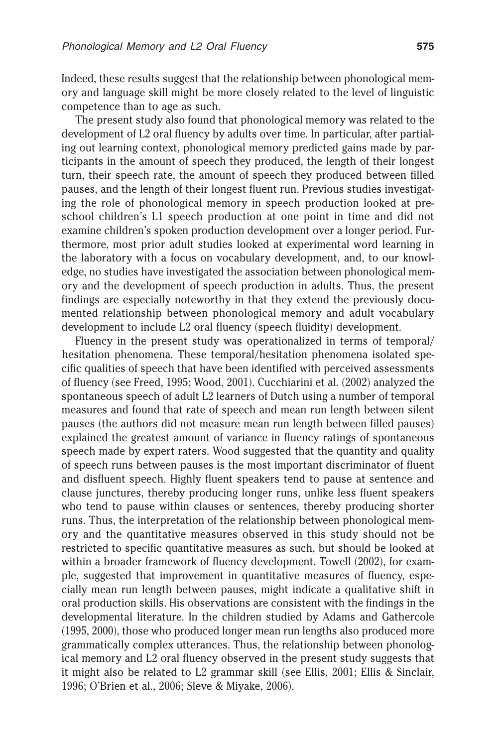Indeed, these results suggest that the relationship between phonological memory and language skill might be more closely related to the level of linguistic competence than to age as such.

The present study also found that phonological memory was related to the development of L2 oral fluency by adults over time. In particular, after partialing out learning context, phonological memory predicted gains made by participants in the amount of speech they produced, the length of their longest turn, their speech rate, the amount of speech they produced between filled pauses, and the length of their longest fluent run. Previous studies investigating the role of phonological memory in speech production looked at preschool children's L1 speech production at one point in time and did not examine children's spoken production development over a longer period. Furthermore, most prior adult studies looked at experimental word learning in the laboratory with a focus on vocabulary development, and, to our knowledge, no studies have investigated the association between phonological memory and the development of speech production in adults. Thus, the present findings are especially noteworthy in that they extend the previously documented relationship between phonological memory and adult vocabulary  $d$ evelopment to include  $L2$  oral fluency (speech fluidity) development.

Fluency in the present study was operationalized in terms of temporal/ hesitation phenomena. These temporal/hesitation phenomena isolated specific qualities of speech that have been identified with perceived assessments of fluency (see Freed, 1995; Wood, 2001). Cucchiarini et al.  $(2002)$  analyzed the spontaneous speech of adult L2 learners of Dutch using a number of temporal measures and found that rate of speech and mean run length between silent pauses (the authors did not measure mean run length between filled pauses) explained the greatest amount of variance in fluency ratings of spontaneous speech made by expert raters. Wood suggested that the quantity and quality of speech runs between pauses is the most important discriminator of fluent and disfluent speech. Highly fluent speakers tend to pause at sentence and clause junctures, thereby producing longer runs, unlike less fluent speakers who tend to pause within clauses or sentences, thereby producing shorter runs. Thus, the interpretation of the relationship between phonological memory and the quantitative measures observed in this study should not be restricted to specific quantitative measures as such, but should be looked at within a broader framework of fluency development. Towell  $(2002)$ , for example, suggested that improvement in quantitative measures of fluency, especially mean run length between pauses, might indicate a qualitative shift in oral production skills+ His observations are consistent with the findings in the developmental literature. In the children studied by Adams and Gathercole  $(1995, 2000)$ , those who produced longer mean run lengths also produced more grammatically complex utterances. Thus, the relationship between phonological memory and L2 oral fluency observed in the present study suggests that it might also be related to L2 grammar skill (see Ellis, 2001; Ellis & Sinclair, 1996; O'Brien et al., 2006; Sleve & Miyake, 2006).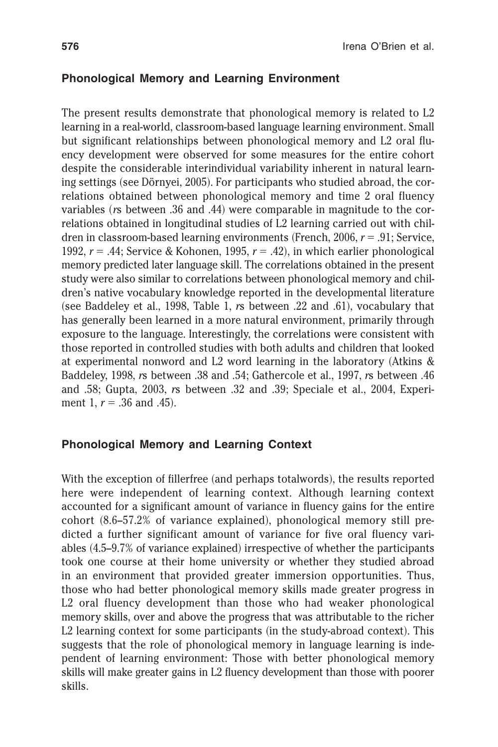# **Phonological Memory and Learning Environment**

The present results demonstrate that phonological memory is related to L2 learning in a real-world, classroom-based language learning environment, Small but significant relationships between phonological memory and L2 oral fluency development were observed for some measures for the entire cohort despite the considerable interindividual variability inherent in natural learning settings (see Dörnyei, 2005). For participants who studied abroad, the correlations obtained between phonological memory and time 2 oral fluency variables (*r*s between .36 and .44) were comparable in magnitude to the correlations obtained in longitudinal studies of L2 learning carried out with children in classroom-based learning environments (French, 2006,  $r = .91$ ; Service, 1992,  $r = .44$ ; Service & Kohonen, 1995,  $r = .42$ ), in which earlier phonological memory predicted later language skill. The correlations obtained in the present study were also similar to correlations between phonological memory and children's native vocabulary knowledge reported in the developmental literature (see Baddeley et al., 1998, Table 1, *rs* between .22 and .61), vocabulary that has generally been learned in a more natural environment, primarily through exposure to the language. Interestingly, the correlations were consistent with those reported in controlled studies with both adults and children that looked at experimental nonword and L2 word learning in the laboratory (Atkins  $&$ Baddeley, 1998, *r*s between +38 and +54; Gathercole et al+, 1997, *r*s between +46 and .58; Gupta, 2003, *rs* between .32 and .39; Speciale et al., 2004, Experiment 1,  $r = .36$  and  $.45$ ).

# **Phonological Memory and Learning Context**

With the exception of fillerfree (and perhaps totalwords), the results reported here were independent of learning context. Although learning context accounted for a significant amount of variance in fluency gains for the entire  $\alpha$ cohort  $(8.6-57.2\%$  of variance explained), phonological memory still predicted a further significant amount of variance for five oral fluency variables  $(4.5-9.7\%$  of variance explained) irrespective of whether the participants took one course at their home university or whether they studied abroad in an environment that provided greater immersion opportunities. Thus, those who had better phonological memory skills made greater progress in L2 oral fluency development than those who had weaker phonological memory skills, over and above the progress that was attributable to the richer  $L2$  learning context for some participants (in the study-abroad context). This suggests that the role of phonological memory in language learning is independent of learning environment: Those with better phonological memory skills will make greater gains in L2 fluency development than those with poorer skills+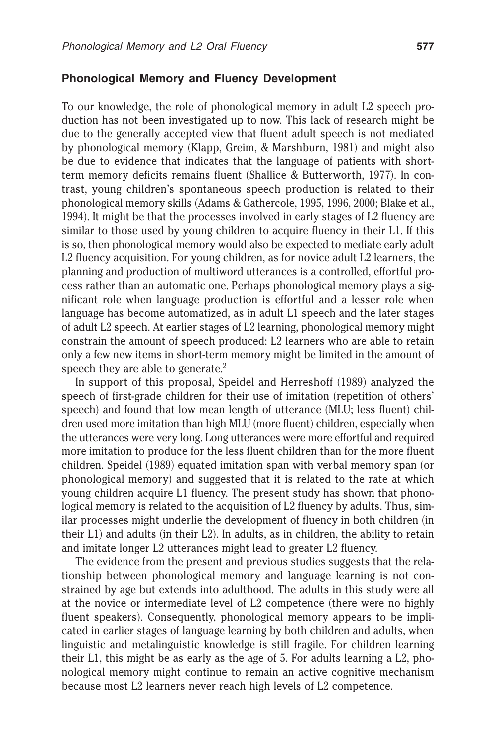# **Phonological Memory and Fluency Development**

To our knowledge, the role of phonological memory in adult L2 speech production has not been investigated up to now. This lack of research might be due to the generally accepted view that fluent adult speech is not mediated by phonological memory (Klapp, Greim, & Marshburn, 1981) and might also be due to evidence that indicates that the language of patients with shortterm memory deficits remains fluent (Shallice & Butterworth, 1977). In contrast, young children's spontaneous speech production is related to their phonological memory skills (Adams & Gathercole, 1995, 1996, 2000; Blake et al., 1994). It might be that the processes involved in early stages of L2 fluency are similar to those used by young children to acquire fluency in their L1. If this is so, then phonological memory would also be expected to mediate early adult L2 fluency acquisition. For young children, as for novice adult L2 learners, the planning and production of multiword utterances is a controlled, effortful process rather than an automatic one. Perhaps phonological memory plays a significant role when language production is effortful and a lesser role when language has become automatized, as in adult L1 speech and the later stages of adult L2 speech. At earlier stages of L2 learning, phonological memory might constrain the amount of speech produced: L2 learners who are able to retain only a few new items in short-term memory might be limited in the amount of speech they are able to generate. $2$ 

In support of this proposal, Speidel and Herreshoff  $(1989)$  analyzed the speech of first-grade children for their use of imitation (repetition of others' speech) and found that low mean length of utterance (MLU; less fluent) children used more imitation than high MLU (more fluent) children, especially when the utterances were very long. Long utterances were more effortful and required more imitation to produce for the less fluent children than for the more fluent children. Speidel (1989) equated imitation span with verbal memory span (or phonological memory) and suggested that it is related to the rate at which young children acquire L1 fluency. The present study has shown that phonological memory is related to the acquisition of L2 fluency by adults. Thus, similar processes might underlie the development of fluency in both children (in their  $L1$ ) and adults (in their  $L2$ ). In adults, as in children, the ability to retain and imitate longer L2 utterances might lead to greater L2 fluency.

The evidence from the present and previous studies suggests that the relationship between phonological memory and language learning is not constrained by age but extends into adulthood. The adults in this study were all at the novice or intermediate level of  $L2$  competence (there were no highly fluent speakers). Consequently, phonological memory appears to be implicated in earlier stages of language learning by both children and adults, when linguistic and metalinguistic knowledge is still fragile+ For children learning their L1, this might be as early as the age of 5. For adults learning a L2, phonological memory might continue to remain an active cognitive mechanism because most L2 learners never reach high levels of L2 competence.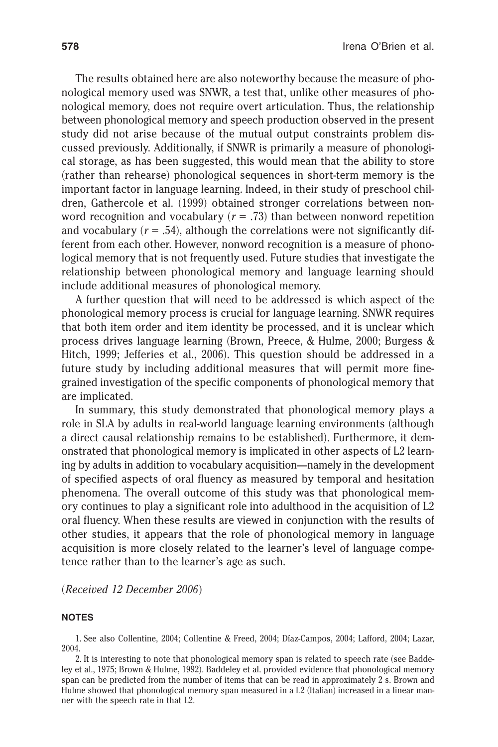The results obtained here are also noteworthy because the measure of phonological memory used was SNWR, a test that, unlike other measures of phonological memory, does not require overt articulation. Thus, the relationship between phonological memory and speech production observed in the present study did not arise because of the mutual output constraints problem discussed previously. Additionally, if SNWR is primarily a measure of phonological storage, as has been suggested, this would mean that the ability to store  $(rather than release) phonological sequences in short-term memory is the$ important factor in language learning. Indeed, in their study of preschool children, Gathercole et al. (1999) obtained stronger correlations between nonword recognition and vocabulary  $(r = .73)$  than between nonword repetition and vocabulary  $(r = .54)$ , although the correlations were not significantly different from each other. However, nonword recognition is a measure of phonological memory that is not frequently used. Future studies that investigate the relationship between phonological memory and language learning should include additional measures of phonological memory.

A further question that will need to be addressed is which aspect of the phonological memory process is crucial for language learning+ SNWR requires that both item order and item identity be processed, and it is unclear which process drives language learning (Brown, Preece, & Hulme, 2000; Burgess & Hitch, 1999; Jefferies et al., 2006). This question should be addressed in a future study by including additional measures that will permit more finegrained investigation of the specific components of phonological memory that are implicated.

In summary, this study demonstrated that phonological memory plays a role in SLA by adults in real-world language learning environments (although a direct causal relationship remains to be established). Furthermore, it demonstrated that phonological memory is implicated in other aspects of L2 learning by adults in addition to vocabulary acquisition—namely in the development of specified aspects of oral fluency as measured by temporal and hesitation phenomena. The overall outcome of this study was that phonological memory continues to play a significant role into adulthood in the acquisition of L2 oral fluency. When these results are viewed in conjunction with the results of other studies, it appears that the role of phonological memory in language acquisition is more closely related to the learner's level of language competence rather than to the learner's age as such.

~*Received 12 December 2006*!

#### **NOTES**

1. See also Collentine, 2004; Collentine & Freed, 2004; Díaz-Campos, 2004; Lafford, 2004; Lazar, 2004+

2. It is interesting to note that phonological memory span is related to speech rate (see Baddeley et al., 1975; Brown & Hulme, 1992). Baddeley et al. provided evidence that phonological memory span can be predicted from the number of items that can be read in approximately  $2$  s. Brown and Hulme showed that phonological memory span measured in a L2 (Italian) increased in a linear manner with the speech rate in that L2.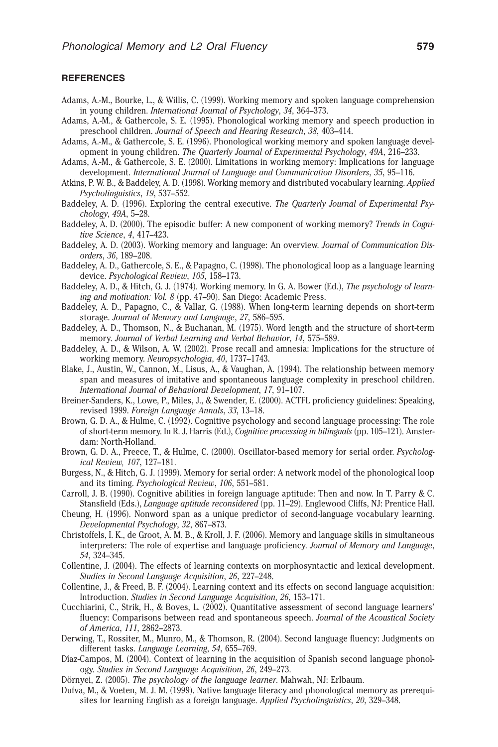#### **REFERENCES**

- Adams, A.-M., Bourke, L., & Willis, C. (1999). Working memory and spoken language comprehension in young children. *International Journal of Psychology*, 34, 364–373.
- Adams, A-M<sub>tr</sub>, & Gathercole, S<sub>tr</sub>, E<sub>t</sub> (1995). Phonological working memory and speech production in preschool children. *Journal of Speech and Hearing Research*, 38, 403–414.
- Adams, A.-M., & Gathercole, S. E. (1996). Phonological working memory and spoken language development in young children+ *The Quarterly Journal of Experimental Psychology*, *49A*, 216–233+
- Adams, A.-M., & Gathercole, S. E. (2000). Limitations in working memory: Implications for language development. *International Journal of Language and Communication Disorders*, 35, 95–116.
- Atkins, P. W. B., & Baddeley, A. D. (1998). Working memory and distributed vocabulary learning. *Applied Psycholinguistics*, *19*, 537–552+
- Baddeley, A, D. (1996). Exploring the central executive. *The Quarterly Journal of Experimental Psychology*, *49A*, 5–28+
- Baddeley, A, D. (2000). The episodic buffer: A new component of working memory? *Trends in Cognitive Science*, *4*, 417–423+
- Baddeley, A. D. (2003). Working memory and language: An overview. *Journal of Communication Disorders*, *36*, 189–208+
- Baddeley, A, D., Gathercole, S. E., & Papagno, C. (1998). The phonological loop as a language learning device+ *Psychological Review*, *105*, 158–173+
- Baddeley, A. D., & Hitch, G. J. (1974). Working memory. In G. A. Bower (Ed.), *The psychology of learning and motivation: Vol. 8* (pp. 47–90). San Diego: Academic Press.
- Baddeley, A, D., Papagno, C., & Vallar, G.  $(1988)$ . When long-term learning depends on short-term storage. Journal of Memory and Language, 27, 586–595.
- Baddeley, A, D., Thomson, N., & Buchanan, M. (1975). Word length and the structure of short-term memory, *Journal of Verbal Learning and Verbal Behavior*, 14, 575–589.
- Baddeley, A. D., & Wilson, A. W. (2002). Prose recall and amnesia: Implications for the structure of working memory. *Neuropsychologia*, 40, 1737–1743.
- Blake, J., Austin, W., Cannon, M., Lisus, A., & Vaughan, A. (1994). The relationship between memory span and measures of imitative and spontaneous language complexity in preschool children. *International Journal of Behavioral Development*, *17*, 91–107+
- Breiner-Sanders, K., Lowe, P., Miles, J., & Swender, E. (2000). ACTFL proficiency guidelines: Speaking, revised 1999. *Foreign Language Annals*, 33, 13-18.
- Brown, G. D. A., & Hulme, C. (1992). Cognitive psychology and second language processing: The role of short-term memory. In R. J. Harris (Ed.), *Cognitive processing in bilinguals* (pp. 105–121). Amsterdam: North-Holland.
- Brown, G. D. A., Preece, T., & Hulme, C. (2000). Oscillator-based memory for serial order. *Psychological Review, 107, 127-181.*
- Burgess, N., & Hitch, G. J. (1999). Memory for serial order: A network model of the phonological loop and its timing, *Psychological Review*,  $106$ , 551–581.
- Carroll, J. B.  $(1990)$ . Cognitive abilities in foreign language aptitude: Then and now. In T. Parry & C. Stansfield (Eds.), *Language aptitude reconsidered* (pp. 11–29). Englewood Cliffs, NJ: Prentice Hall.
- Cheung, H. (1996). Nonword span as a unique predictor of second-language vocabulary learning. *Developmental Psychology*, *32*, 867–873+
- Christoffels, I. K., de Groot, A. M. B., & Kroll, J. F. (2006). Memory and language skills in simultaneous interpreters: The role of expertise and language proficiency+ *Journal of Memory and Language*, *54*, 324–345+
- Collentine, J.  $(2004)$ . The effects of learning contexts on morphosyntactic and lexical development. *Studies in Second Language Acquisition, 26, 227-248.*
- Collentine, J., & Freed, B. F.  $(2004)$ . Learning context and its effects on second language acquisition: Introduction+ *Studies in Second Language Acquisition*, *26*, 153–171+
- Cucchiarini, C., Strik, H., & Boves, L. (2002). Quantitative assessment of second language learners' fluency: Comparisons between read and spontaneous speech. Journal of the Acoustical Society *of America*, *111*, 2862–2873+
- Derwing, T., Rossiter, M., Munro, M., & Thomson, R. (2004). Second language fluency: Judgments on different tasks. *Language Learning*, 54, 655–769.
- Díaz-Campos, M. (2004). Context of learning in the acquisition of Spanish second language phonology+ *Studies in Second Language Acquisition*, *26*, 249–273+
- Dörnyei, Z. (2005). *The psychology of the language learner*. Mahwah, NJ: Erlbaum.
- Dufva, M., & Voeten, M. J. M. (1999). Native language literacy and phonological memory as prerequisites for learning English as a foreign language. *Applied Psycholinguistics*, *20*, 329–348.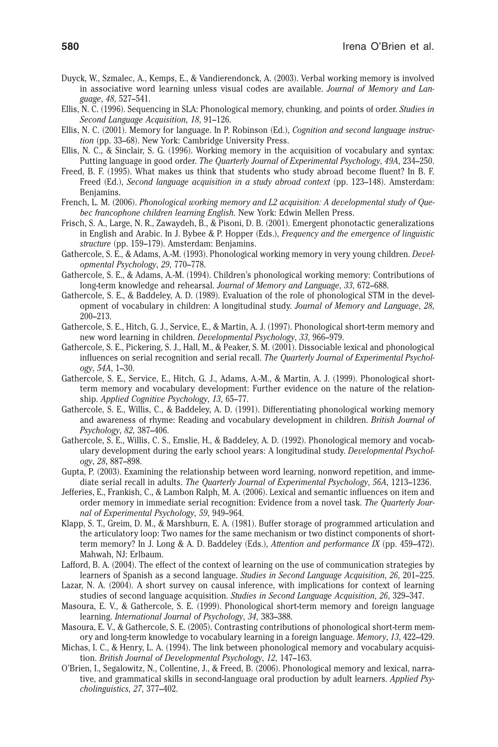- Duyck, W., Szmalec, A., Kemps, E., & Vandierendonck, A. (2003). Verbal working memory is involved in associative word learning unless visual codes are available. Journal of Memory and Lan*guage*, *48*, 527–541+
- Ellis, N. C. (1996). Sequencing in SLA: Phonological memory, chunking, and points of order. *Studies in Second Language Acquisition, 18, 91-126.*
- Ellis, N. C. (2001). Memory for language. In P. Robinson (Ed.), *Cognition and second language instruction* (pp. 33–68). New York: Cambridge University Press.
- Ellis, N. C., & Sinclair, S. G. (1996). Working memory in the acquisition of vocabulary and syntax: Putting language in good order. *The Quarterly Journal of Experimental Psychology*, 49A, 234–250.
- Freed, B. F. (1995). What makes us think that students who study abroad become fluent? In B. F. Freed (Ed.), *Second language acquisition in a study abroad context* (pp. 123–148). Amsterdam: Benjamins.
- French, L. M. (2006). *Phonological working memory and L2 acquisition: A developmental study of Quebec francophone children learning English*. New York: Edwin Mellen Press.
- Frisch, S. A., Large, N. R., Zawaydeh, B., & Pisoni, D. B. (2001). Emergent phonotactic generalizations in English and Arabic. In J. Bybee & P. Hopper (Eds.), *Frequency and the emergence of linguistic structure* (pp. 159–179). Amsterdam: Benjamins.
- Gathercole, S. E., & Adams, A.-M. (1993). Phonological working memory in very young children. *Developmental Psychology*, *29*, 770–778+
- Gathercole, S. E., & Adams, A.-M. (1994). Children's phonological working memory: Contributions of long-term knowledge and rehearsal. *Journal of Memory and Language*, 33, 672–688.
- Gathercole, S. E., & Baddeley, A. D. (1989). Evaluation of the role of phonological STM in the development of vocabulary in children: A longitudinal study+ *Journal of Memory and Language*, *28*, 200–213+
- Gathercole, S. E., Hitch, G. J., Service, E., & Martin, A. J. (1997). Phonological short-term memory and new word learning in children+ *Developmental Psychology*, *33*, 966–979+
- Gathercole, S. E., Pickering, S. J., Hall, M., & Peaker, S. M. (2001). Dissociable lexical and phonological influences on serial recognition and serial recall. The Quarterly Journal of Experimental Psychol*ogy*, *54A*, 1–30+
- Gathercole, S. E., Service, E., Hitch, G. J., Adams, A.-M., & Martin, A. J. (1999). Phonological shortterm memory and vocabulary development: Further evidence on the nature of the relationship. *Applied Cognitive Psychology*, 13, 65–77.
- Gathercole, S. E., Willis, C., & Baddeley, A. D. (1991). Differentiating phonological working memory and awareness of rhyme: Reading and vocabulary development in children+ *British Journal of Psychology*, *82*, 387–406+
- Gathercole, S. E., Willis, C. S., Emslie, H., & Baddeley, A. D. (1992). Phonological memory and vocabulary development during the early school years: A longitudinal study+ *Developmental Psychology*, *28*, 887–898+
- Gupta, P. (2003). Examining the relationship between word learning, nonword repetition, and immediate serial recall in adults. The Quarterly Journal of Experimental Psychology, 56A, 1213-1236.
- Jefferies, E., Frankish, C., & Lambon Ralph, M. A. (2006). Lexical and semantic influences on item and order memory in immediate serial recognition: Evidence from a novel task+ *The Quarterly Journal of Experimental Psychology*, 59, 949-964.
- Klapp, S. T., Greim, D. M., & Marshburn, E. A. (1981). Buffer storage of programmed articulation and the articulatory loop: Two names for the same mechanism or two distinct components of shortterm memory? In J. Long & A. D. Baddeley (Eds.), *Attention and performance IX* (pp. 459–472). Mahwah, NJ: Erlbaum+
- Lafford, B. A.  $(2004)$ . The effect of the context of learning on the use of communication strategies by learners of Spanish as a second language. *Studies in Second Language Acquisition*, 26, 201–225.
- Lazar, N. A. (2004). A short survey on causal inference, with implications for context of learning studies of second language acquisition. *Studies in Second Language Acquisition*, *26*, 329–347.
- Masoura, E. V., & Gathercole, S. E. (1999). Phonological short-term memory and foreign language learning. *International Journal of Psychology*, 34, 383–388.
- Masoura, E. V., & Gathercole, S. E. (2005). Contrasting contributions of phonological short-term memory and long-term knowledge to vocabulary learning in a foreign language. Memory, 13, 422-429.
- Michas, I. C., & Henry, L. A. (1994). The link between phonological memory and vocabulary acquisition. *British Journal of Developmental Psychology*, 12, 147-163.
- O'Brien, I., Segalowitz, N., Collentine, J., & Freed, B. (2006). Phonological memory and lexical, narrative, and grammatical skills in second-language oral production by adult learners+ *Applied Psycholinguistics*, *27*, 377–402+